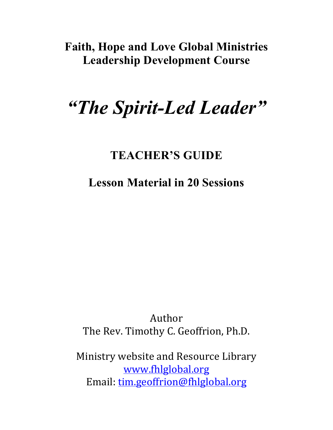# **Faith, Hope and Love Global Ministries Leadership Development Course**

# *"The Spirit-Led Leader"*

# **TEACHER'S GUIDE**

**Lesson Material in 20 Sessions**

Author The Rev. Timothy C. Geoffrion, Ph.D.

Ministry website and Resource Library www.fhlglobal.org Email: tim.geoffrion@fhlglobal.org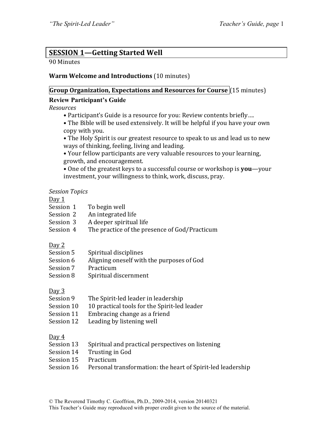#### **SESSION 1-Getting Started Well**

#### 90 Minutes

#### **Warm Welcome and Introductions** (10 minutes)

#### **Group Organization, Expectations and Resources for Course** (15 minutes)

#### **Review Participant's Guide**

*Resources*

- Participant's Guide is a resource for you: Review contents briefly....
- The Bible will be used extensively. It will be helpful if you have your own copy with you.
- The Holy Spirit is our greatest resource to speak to us and lead us to new ways of thinking, feeling, living and leading.
- Your fellow participants are very valuable resources to your learning, growth, and encouragement.
- One of the greatest keys to a successful course or workshop is **you**—your investment, your willingness to think, work, discuss, pray.

#### *Session Topics*

#### Day 1

- Session  $1$  To begin well
- Session 2 An integrated life
- Session 3 A deeper spiritual life
- Session 4 The practice of the presence of God/Practicum

#### Day 2

- Session 5 Spiritual disciplines
- Session 6 Aligning oneself with the purposes of God
- Session 7 Practicum
- Session 8 Spiritual discernment

#### Day 3

- Session 9 The Spirit-led leader in leadership
- Session 10 10 practical tools for the Spirit-led leader
- Session 11 Embracing change as a friend
- Session 12 Leading by listening well

#### Day 4

- Session 13 Spiritual and practical perspectives on listening
- Session 14 Trusting in God
- Session 15 Practicum
- Session 16 Personal transformation: the heart of Spirit-led leadership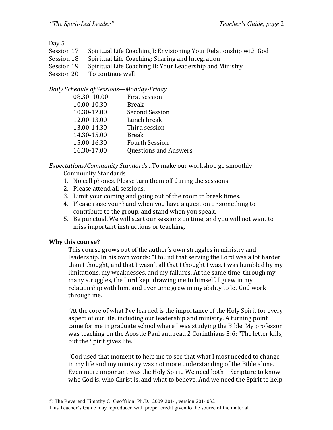#### Day 5

- Session 17 Spiritual Life Coaching I: Envisioning Your Relationship with God
- Session 18 Spiritual Life Coaching: Sharing and Integration
- Session 19 Spiritual Life Coaching II: Your Leadership and Ministry
- Session 20 To continue well

#### *Daily Schedule of Sessions—Monday-Friday*

| 08.30-10.00 | First session                |
|-------------|------------------------------|
| 10.00-10.30 | <b>Break</b>                 |
| 10.30-12.00 | <b>Second Session</b>        |
| 12.00-13.00 | Lunch break                  |
| 13.00-14.30 | Third session                |
| 14.30-15.00 | <b>Break</b>                 |
| 15.00-16.30 | <b>Fourth Session</b>        |
| 16.30-17.00 | <b>Questions and Answers</b> |
|             |                              |

*Expectations/Community Standards...To* make our workshop go smoothly Community Standards

- 1. No cell phones. Please turn them off during the sessions.
- 2. Please attend all sessions.
- 3. Limit your coming and going out of the room to break times.
- 4. Please raise your hand when you have a question or something to contribute to the group, and stand when you speak.
- 5. Be punctual. We will start our sessions on time, and you will not want to miss important instructions or teaching.

#### **Why this course?**

This course grows out of the author's own struggles in ministry and leadership. In his own words: "I found that serving the Lord was a lot harder than I thought, and that I wasn't all that I thought I was. I was humbled by my limitations, my weaknesses, and my failures. At the same time, through my many struggles, the Lord kept drawing me to himself. I grew in my relationship with him, and over time grew in my ability to let God work through me.

"At the core of what I've learned is the importance of the Holy Spirit for every aspect of our life, including our leadership and ministry. A turning point came for me in graduate school where I was studying the Bible. My professor was teaching on the Apostle Paul and read 2 Corinthians 3:6: "The letter kills, but the Spirit gives life."

"God used that moment to help me to see that what I most needed to change in my life and my ministry was not more understanding of the Bible alone. Even more important was the Holy Spirit. We need both—Scripture to know who God is, who Christ is, and what to believe. And we need the Spirit to help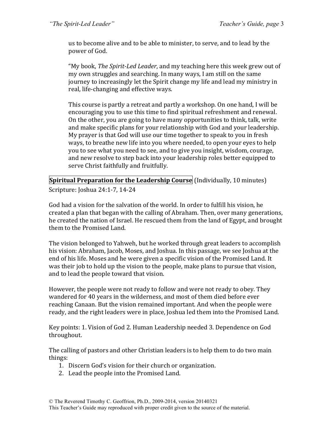us to become alive and to be able to minister, to serve, and to lead by the power of God.

"My book, *The Spirit-Led Leader*, and my teaching here this week grew out of my own struggles and searching. In many ways, I am still on the same journey to increasingly let the Spirit change my life and lead my ministry in real, life-changing and effective ways.

This course is partly a retreat and partly a workshop. On one hand, I will be encouraging you to use this time to find spiritual refreshment and renewal. On the other, you are going to have many opportunities to think, talk, write and make specific plans for your relationship with God and your leadership. My prayer is that God will use our time together to speak to you in fresh ways, to breathe new life into you where needed, to open your eyes to help you to see what you need to see, and to give you insight, wisdom, courage, and new resolve to step back into your leadership roles better equipped to serve Christ faithfully and fruitfully.

**Spiritual Preparation for the Leadership Course (Individually, 10 minutes)** Scripture: Joshua 24:1-7, 14-24

God had a vision for the salvation of the world. In order to fulfill his vision, he created a plan that began with the calling of Abraham. Then, over many generations, he created the nation of Israel. He rescued them from the land of Egypt, and brought them to the Promised Land.

The vision belonged to Yahweh, but he worked through great leaders to accomplish his vision: Abraham, Jacob, Moses, and Joshua. In this passage, we see Joshua at the end of his life. Moses and he were given a specific vision of the Promised Land. It was their job to hold up the vision to the people, make plans to pursue that vision, and to lead the people toward that vision.

However, the people were not ready to follow and were not ready to obey. They wandered for 40 years in the wilderness, and most of them died before ever reaching Canaan. But the vision remained important. And when the people were ready, and the right leaders were in place, Joshua led them into the Promised Land.

Key points: 1. Vision of God 2. Human Leadership needed 3. Dependence on God throughout.

The calling of pastors and other Christian leaders is to help them to do two main things:

- 1. Discern God's vision for their church or organization.
- 2. Lead the people into the Promised Land.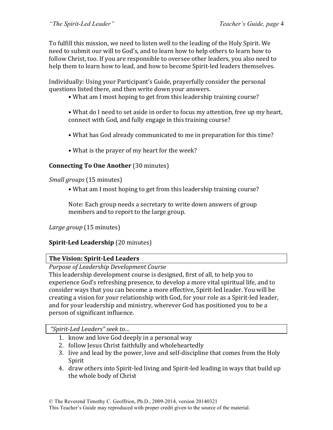To fulfill this mission, we need to listen well to the leading of the Holy Spirit. We need to submit our will to God's, and to learn how to help others to learn how to follow Christ, too. If you are responsible to oversee other leaders, you also need to help them to learn how to lead, and how to become Spirit-led leaders themselves.

Individually: Using your Participant's Guide, prayerfully consider the personal questions listed there, and then write down your answers.

- What am I most hoping to get from this leadership training course?
- What do I need to set aside in order to focus my attention, free up my heart, connect with God, and fully engage in this training course?
- What has God already communicated to me in preparation for this time?
- What is the prayer of my heart for the week?

#### **Connecting To One Another** (30 minutes)

*Small groups* (15 minutes)

• What am I most hoping to get from this leadership training course?

Note: Each group needs a secretary to write down answers of group members and to report to the large group.

*Large group* (15 minutes)

#### **Spirit-Led Leadership** (20 minutes)

#### **The Vision: Spirit-Led Leaders**

*Purpose of Leadership Development Course*

This leadership development course is designed, first of all, to help you to experience God's refreshing presence, to develop a more vital spiritual life, and to consider ways that you can become a more effective, Spirit-led leader. You will be creating a vision for your relationship with God, for your role as a Spirit-led leader, and for your leadership and ministry, wherever God has positioned you to be a person of significant influence.

*"Spirit-Led Leaders" seek to…*

- 1. know and love  $\overline{G}$  od deeply in a personal way
- 2. follow Jesus Christ faithfully and wholeheartedly
- 3. live and lead by the power, love and self-discipline that comes from the Holy Spirit
- 4. draw others into Spirit-led living and Spirit-led leading in ways that build up the whole body of Christ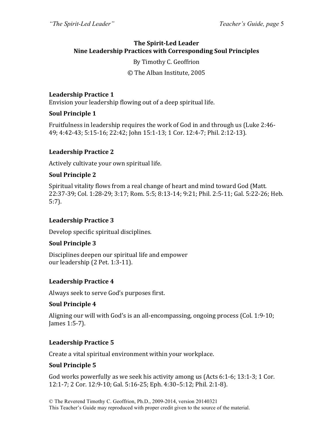#### **The Spirit-Led Leader Nine Leadership Practices with Corresponding Soul Principles**

#### By Timothy C. Geoffrion

© The Alban Institute, 2005

#### **Leadership Practice 1**

Envision your leadership flowing out of a deep spiritual life.

#### **Soul Principle 1**

Fruitfulness in leadership requires the work of God in and through us (Luke 2:46-49; 4:42-43; 5:15-16; 22:42; John 15:1-13; 1 Cor. 12:4-7; Phil. 2:12-13).

#### **Leadership Practice 2**

Actively cultivate your own spiritual life.

#### **Soul Principle 2**

Spiritual vitality flows from a real change of heart and mind toward God (Matt.) 22:37-39; Col. 1:28-29; 3:17; Rom. 5:5; 8:13-14; 9:21; Phil. 2:5-11; Gal. 5:22-26; Heb. 5:7).

#### Leadership Practice 3

Develop specific spiritual disciplines.

#### **Soul Principle 3**

Disciplines deepen our spiritual life and empower our leadership (2 Pet. 1:3-11).

#### **Leadership Practice 4**

Always seek to serve God's purposes first.

#### **Soul Principle 4**

Aligning our will with God's is an all-encompassing, ongoing process (Col. 1:9-10; James 1:5-7).

#### **Leadership Practice 5**

Create a vital spiritual environment within your workplace.

#### **Soul Principle 5**

God works powerfully as we seek his activity among us  $(Acts 6:1-6; 13:1-3; 1$  Cor. 12:1-7; 2 Cor. 12:9-10; Gal. 5:16-25; Eph. 4:30–5:12; Phil. 2:1-8).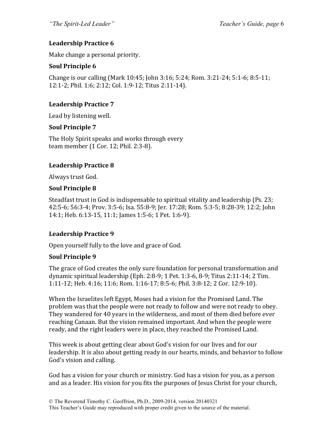#### **Leadership Practice 6**

Make change a personal priority.

#### **Soul Principle 6**

Change is our calling (Mark 10:45; John 3:16; 5:24; Rom. 3:21-24; 5:1-6; 8:5-11; 12:1-2; Phil. 1:6; 2:12; Col. 1:9-12; Titus 2:11-14).

#### **Leadership Practice 7**

Lead by listening well.

#### **Soul Principle 7**

The Holy Spirit speaks and works through every team member (1 Cor. 12; Phil. 2:3-8).

#### **Leadership Practice 8**

Always trust God.

#### **Soul Principle 8**

Steadfast trust in God is indispensable to spiritual vitality and leadership (Ps. 23; 42:5-6; 56:3-4; Prov. 3:5-6; Isa. 55:8-9; Jer. 17:28; Rom. 5:3-5; 8:28-39; 12:2; John 14:1; Heb. 6:13-15, 11:1; James 1:5-6; 1 Pet. 1:6-9).

#### Leadership Practice 9

Open yourself fully to the love and grace of God.

#### **Soul Principle 9**

The grace of God creates the only sure foundation for personal transformation and dynamic spiritual leadership (Eph. 2:8-9; 1 Pet. 1:3-6, 8-9; Titus  $2:11-14$ ; 2 Tim. 1:11-12; Heb. 4:16; 11:6; Rom. 1:16-17; 8:5-6; Phil. 3:8-12; 2 Cor. 12:9-10).

When the Israelites left Egypt, Moses had a vision for the Promised Land. The problem was that the people were not ready to follow and were not ready to obey. They wandered for 40 years in the wilderness, and most of them died before ever reaching Canaan. But the vision remained important. And when the people were ready, and the right leaders were in place, they reached the Promised Land.

This week is about getting clear about God's vision for our lives and for our leadership. It is also about getting ready in our hearts, minds, and behavior to follow God's vision and calling.

God has a vision for your church or ministry. God has a vision for you, as a person and as a leader. His vision for you fits the purposes of Jesus Christ for your church,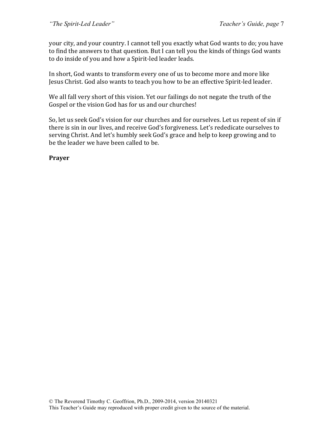your city, and your country. I cannot tell you exactly what God wants to do; you have to find the answers to that question. But I can tell you the kinds of things God wants to do inside of you and how a Spirit-led leader leads.

In short, God wants to transform every one of us to become more and more like Jesus Christ. God also wants to teach you how to be an effective Spirit-led leader.

We all fall very short of this vision. Yet our failings do not negate the truth of the Gospel or the vision God has for us and our churches!

So, let us seek God's vision for our churches and for ourselves. Let us repent of sin if there is sin in our lives, and receive God's forgiveness. Let's rededicate ourselves to serving Christ. And let's humbly seek God's grace and help to keep growing and to be the leader we have been called to be.

**Prayer**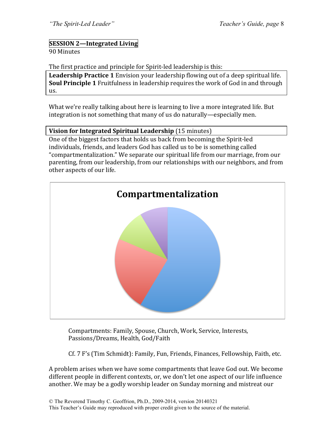## **SESSION 2—Integrated Living**

#### 90 Minutes

The first practice and principle for Spirit-led leadership is this:

**Leadership Practice 1** Envision your leadership flowing out of a deep spiritual life. **Soul Principle 1** Fruitfulness in leadership requires the work of God in and through us. 

What we're really talking about here is learning to live a more integrated life. But integration is not something that many of us do naturally—especially men.

#### **Vision for Integrated Spiritual Leadership** (15 minutes)

One of the biggest factors that holds us back from becoming the Spirit-led individuals, friends, and leaders God has called us to be is something called "compartmentalization." We separate our spiritual life from our marriage, from our parenting, from our leadership, from our relationships with our neighbors, and from other aspects of our life.



Compartments: Family, Spouse, Church, Work, Service, Interests, Passions/Dreams, Health, God/Faith

Cf. 7 F's (Tim Schmidt): Family, Fun, Friends, Finances, Fellowship, Faith, etc.

A problem arises when we have some compartments that leave God out. We become different people in different contexts, or, we don't let one aspect of our life influence another. We may be a godly worship leader on Sunday morning and mistreat our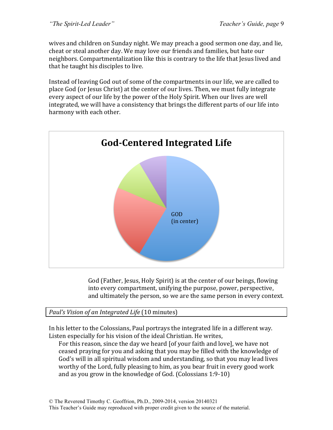wives and children on Sunday night. We may preach a good sermon one day, and lie, cheat or steal another day. We may love our friends and families, but hate our neighbors. Compartmentalization like this is contrary to the life that Jesus lived and that he taught his disciples to live.

Instead of leaving God out of some of the compartments in our life, we are called to place God (or Jesus Christ) at the center of our lives. Then, we must fully integrate every aspect of our life by the power of the Holy Spirit. When our lives are well integrated, we will have a consistency that brings the different parts of our life into harmony with each other.



God (Father, Jesus, Holy Spirit) is at the center of our beings, flowing into every compartment, unifying the purpose, power, perspective, and ultimately the person, so we are the same person in every context.

*Paul's Vision of an Integrated Life* (10 minutes)

In his letter to the Colossians, Paul portrays the integrated life in a different way. Listen especially for his vision of the ideal Christian. He writes,

For this reason, since the day we heard [of your faith and love], we have not ceased praying for you and asking that you may be filled with the knowledge of God's will in all spiritual wisdom and understanding, so that you may lead lives worthy of the Lord, fully pleasing to him, as you bear fruit in every good work and as you grow in the knowledge of God. (Colossians  $1:9-10$ )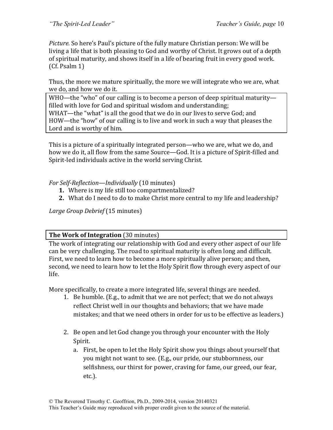*Picture.* So here's Paul's picture of the fully mature Christian person: We will be living a life that is both pleasing to God and worthy of Christ. It grows out of a depth of spiritual maturity, and shows itself in a life of bearing fruit in every good work. (Cf. Psalm 1)

Thus, the more we mature spiritually, the more we will integrate who we are, what we do, and how we do it.

WHO—the "who" of our calling is to become a person of deep spiritual maturity filled with love for God and spiritual wisdom and understanding; WHAT—the "what" is all the good that we do in our lives to serve God; and HOW—the "how" of our calling is to live and work in such a way that pleases the Lord and is worthy of him.

This is a picture of a spiritually integrated person—who we are, what we do, and how we do it, all flow from the same Source—God. It is a picture of Spirit-filled and Spirit-led individuals active in the world serving Christ.

#### *For Self-Reflection—Individually* (10 minutes)

- **1.** Where is my life still too compartmentalized?
- **2.** What do I need to do to make Christ more central to my life and leadership?

*Large Group Debrief* (15 minutes)

#### **The Work of Integration** (30 minutes)

The work of integrating our relationship with God and every other aspect of our life can be very challenging. The road to spiritual maturity is often long and difficult. First, we need to learn how to become a more spiritually alive person; and then, second, we need to learn how to let the Holy Spirit flow through every aspect of our life.

More specifically, to create a more integrated life, several things are needed.

- 1. Be humble. (E.g., to admit that we are not perfect; that we do not always reflect Christ well in our thoughts and behaviors; that we have made mistakes; and that we need others in order for us to be effective as leaders.)
- 2. Be open and let God change you through your encounter with the Holy Spirit.
	- a. First, be open to let the Holy Spirit show you things about yourself that you might not want to see. (E.g., our pride, our stubbornness, our selfishness, our thirst for power, craving for fame, our greed, our fear, etc.).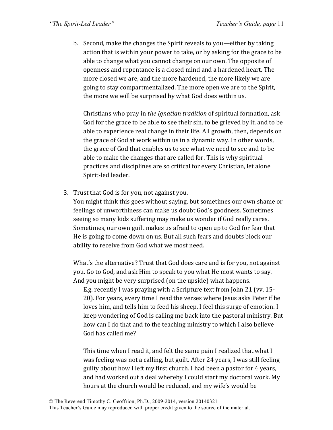b. Second, make the changes the Spirit reveals to you—either by taking action that is within your power to take, or by asking for the grace to be able to change what you cannot change on our own. The opposite of openness and repentance is a closed mind and a hardened heart. The more closed we are, and the more hardened, the more likely we are going to stay compartmentalized. The more open we are to the Spirit, the more we will be surprised by what God does within us.

Christians who pray in *the Ignatian tradition* of spiritual formation, ask God for the grace to be able to see their sin, to be grieved by it, and to be able to experience real change in their life. All growth, then, depends on the grace of God at work within us in a dynamic way. In other words, the grace of God that enables us to see what we need to see and to be able to make the changes that are called for. This is why spiritual practices and disciplines are so critical for every Christian, let alone Spirit-led leader.

3. Trust that God is for you, not against you.

You might think this goes without saying, but sometimes our own shame or feelings of unworthiness can make us doubt God's goodness. Sometimes seeing so many kids suffering may make us wonder if God really cares. Sometimes, our own guilt makes us afraid to open up to God for fear that He is going to come down on us. But all such fears and doubts block our ability to receive from God what we most need.

What's the alternative? Trust that God does care and is for you, not against you. Go to God, and ask Him to speak to you what He most wants to say. And you might be very surprised (on the upside) what happens.

E.g. recently I was praying with a Scripture text from John 21 (vv.  $15$ -20). For years, every time I read the verses where Jesus asks Peter if he loves him, and tells him to feed his sheep, I feel this surge of emotion. I keep wondering of God is calling me back into the pastoral ministry. But how can I do that and to the teaching ministry to which I also believe God has called me?

This time when I read it, and felt the same pain I realized that what I was feeling was not a calling, but guilt. After 24 years, I was still feeling guilty about how I left my first church. I had been a pastor for 4 years, and had worked out a deal whereby I could start my doctoral work. My hours at the church would be reduced, and my wife's would be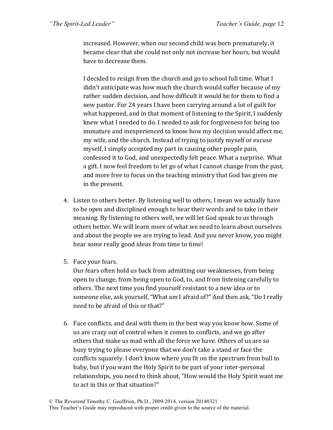increased. However, when our second child was born prematurely, it became clear that she could not only not increase her hours, but would have to decrease them.

I decided to resign from the church and go to school full time. What I didn't anticipate was how much the church would suffer because of my rather sudden decision, and how difficult it would be for them to find a new pastor. For 24 years I have been carrying around a lot of guilt for what happened, and in that moment of listening to the Spirit, I suddenly knew what I needed to do. I needed to ask for forgiveness for being too immature and inexperienced to know how my decision would affect me, my wife, and the church. Instead of trying to justify myself or excuse myself, I simply accepted my part in causing other people pain, confessed it to God, and unexpectedly felt peace. What a surprise. What a gift. I now feel freedom to let go of what I cannot change from the past, and more free to focus on the teaching ministry that God has given me in the present.

- 4. Listen to others better. By listening well to others, I mean we actually have to be open and disciplined enough to hear their words and to take in their meaning. By listening to others well, we will let God speak to us through others better. We will learn more of what we need to learn about ourselves and about the people we are trying to lead. And you never know, you might hear some really good ideas from time to time!
- 5. Face your fears.

Our fears often hold us back from admitting our weaknesses, from being open to change, from being open to God, to, and from listening carefully to others. The next time you find yourself resistant to a new idea or to someone else, ask yourself, "What am I afraid of?" And then ask, "Do I really need to be afraid of this or that?"

6. Face conflicts, and deal with them in the best way you know how. Some of us are crazy out of control when it comes to conflicts, and we go after others that make us mad with all the force we have. Others of us are so busy trying to please everyone that we don't take a stand or face the conflicts squarely. I don't know where you fit on the spectrum from bull to baby, but if you want the Holy Spirit to be part of your inter-personal relationships, you need to think about, "How would the Holy Spirit want me to act in this or that situation?"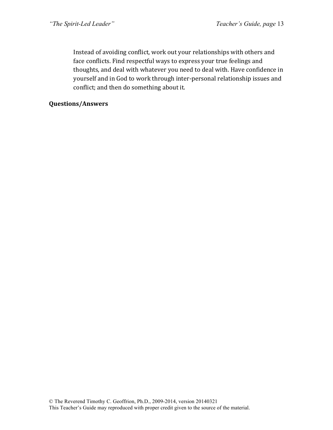Instead of avoiding conflict, work out your relationships with others and face conflicts. Find respectful ways to express your true feelings and thoughts, and deal with whatever you need to deal with. Have confidence in yourself and in God to work through inter-personal relationship issues and conflict; and then do something about it.

#### **Questions/Answers**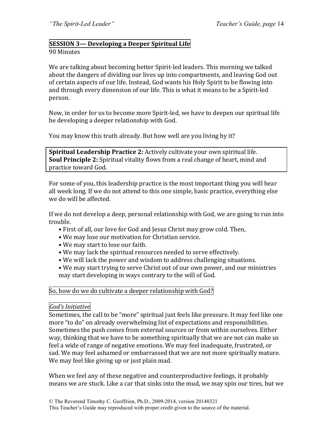# **SESSION 3— Developing a Deeper Spiritual Life**

#### 90 Minutes

We are talking about becoming better Spirit-led leaders. This morning we talked about the dangers of dividing our lives up into compartments, and leaving God out of certain aspects of our life. Instead, God wants his Holy Spirit to be flowing into and through every dimension of our life. This is what it means to be a Spirit-led person.

Now, in order for us to become more Spirit-led, we have to deepen our spiritual life be developing a deeper relationship with God.

You may know this truth already. But how well are you living by it?

**Spiritual Leadership Practice 2:** Actively cultivate your own spiritual life. **Soul Principle 2:** Spiritual vitality flows from a real change of heart, mind and practice toward God.

For some of you, this leadership practice is the most important thing you will hear all week long. If we do not attend to this one simple, basic practice, everything else we do will be affected.

If we do not develop a deep, personal relationship with God, we are going to run into trouble.

- First of all, our love for God and Jesus Christ may grow cold. Then,
- We may lose our motivation for Christian service.
- We may start to lose our faith.
- We may lack the spiritual resources needed to serve effectively.
- We will lack the power and wisdom to address challenging situations.
- We may start trying to serve Christ out of our own power, and our ministries may start developing in ways contrary to the will of God.

#### So, how do we do cultivate a deeper relationship with God?

#### *God's Initiative*

Sometimes, the call to be "more" spiritual just feels like pressure. It may feel like one more "to do" on already overwhelming list of expectations and responsibilities. Sometimes the push comes from external sources or from within ourselves. Either way, thinking that we have to be something spiritually that we are not can make us feel a wide of range of negative emotions. We may feel inadequate, frustrated, or sad. We may feel ashamed or embarrassed that we are not more spiritually mature. We may feel like giving up or just plain mad.

When we feel any of these negative and counterproductive feelings, it probably means we are stuck. Like a car that sinks into the mud, we may spin our tires, but we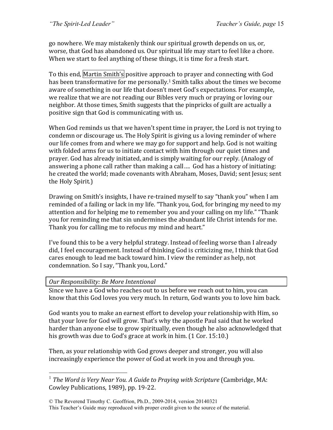go nowhere. We may mistakenly think our spiritual growth depends on us, or, worse, that God has abandoned us. Our spiritual life may start to feel like a chore. When we start to feel anything of these things, it is time for a fresh start.

To this end, Martin Smith's positive approach to prayer and connecting with God has been transformative for me personally.<sup>1</sup> Smith talks about the times we become aware of something in our life that doesn't meet God's expectations. For example, we realize that we are not reading our Bibles very much or praying or loving our neighbor. At those times, Smith suggests that the pinpricks of guilt are actually a positive sign that God is communicating with us.

When God reminds us that we haven't spent time in prayer, the Lord is not trying to condemn or discourage us. The Holy Spirit is giving us a loving reminder of where our life comes from and where we may go for support and help. God is not waiting with folded arms for us to initiate contact with him through our quiet times and prayer. God has already initiated, and is simply waiting for our reply. (Analogy of answering a phone call rather than making a call.... God has a history of initiating: he created the world; made covenants with Abraham, Moses, David; sent Jesus; sent the Holy Spirit.)

Drawing on Smith's insights, I have re-trained myself to say "thank you" when I am reminded of a failing or lack in my life. "Thank you, God, for bringing my need to my attention and for helping me to remember you and your calling on my life." "Thank you for reminding me that sin undermines the abundant life Christ intends for me. Thank you for calling me to refocus my mind and heart."

I've found this to be a very helpful strategy. Instead of feeling worse than I already did, I feel encouragement. Instead of thinking God is criticizing me, I think that God cares enough to lead me back toward him. I view the reminder as help, not condemnation. So I say, "Thank you, Lord."

#### *Our Responsibility: Be More Intentional*

Since we have a God who reaches out to us before we reach out to him, you can know that this God loves you very much. In return, God wants you to love him back.

God wants you to make an earnest effort to develop your relationship with Him, so that your love for God will grow. That's why the apostle Paul said that he worked harder than anyone else to grow spiritually, even though he also acknowledged that his growth was due to God's grace at work in him.  $(1$  Cor. 15:10.)

Then, as your relationship with God grows deeper and stronger, you will also increasingly experience the power of God at work in you and through you.

<sup>&</sup>lt;sup>1</sup> *The Word is Verv Near You. A Guide to Praying with Scripture* (Cambridge, MA: Cowley Publications, 1989), pp. 19-22.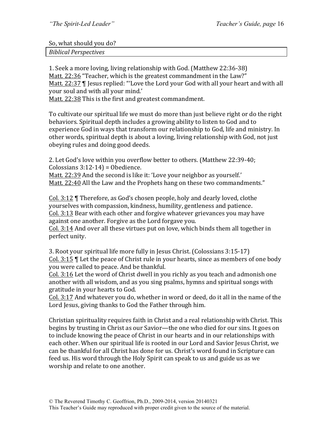So, what should you do?

*Biblical Perspectives*

1. Seek a more loving, living relationship with God. (Matthew 22:36-38) Matt. 22:36 "Teacher, which is the greatest commandment in the Law?" Matt.  $22:37$   $\parallel$  Jesus replied: "'Love the Lord your God with all your heart and with all your soul and with all your mind.'

Matt. 22:38 This is the first and greatest commandment.

To cultivate our spiritual life we must do more than just believe right or do the right behaviors. Spiritual depth includes a growing ability to listen to God and to experience God in ways that transform our relationship to God, life and ministry. In other words, spiritual depth is about a loving, living relationship with God, not just obeying rules and doing good deeds.

2. Let God's love within you overflow better to others. (Matthew 22:39-40; Colossians  $3:12-14$  = Obedience.

Matt. 22:39 And the second is like it: 'Love your neighbor as yourself.' Matt. 22:40 All the Law and the Prophets hang on these two commandments."

Col. 3:12  $\P$  Therefore, as God's chosen people, holy and dearly loved, clothe yourselves with compassion, kindness, humility, gentleness and patience. Col. 3:13 Bear with each other and forgive whatever grievances you may have against one another. Forgive as the Lord forgave you.

Col. 3:14 And over all these virtues put on love, which binds them all together in perfect unity.

3. Root your spiritual life more fully in Jesus Christ. (Colossians 3:15-17) Col.  $3:15$   $\parallel$  Let the peace of Christ rule in your hearts, since as members of one body you were called to peace. And be thankful.

Col. 3:16 Let the word of Christ dwell in you richly as you teach and admonish one another with all wisdom, and as you sing psalms, hymns and spiritual songs with gratitude in your hearts to God.

Col. 3:17 And whatever you do, whether in word or deed, do it all in the name of the Lord Jesus, giving thanks to God the Father through him.

Christian spirituality requires faith in Christ and a real relationship with Christ. This begins by trusting in Christ as our Savior—the one who died for our sins. It goes on to include knowing the peace of Christ in our hearts and in our relationships with each other. When our spiritual life is rooted in our Lord and Savior Jesus Christ, we can be thankful for all Christ has done for us. Christ's word found in Scripture can feed us. His word through the Holy Spirit can speak to us and guide us as we worship and relate to one another.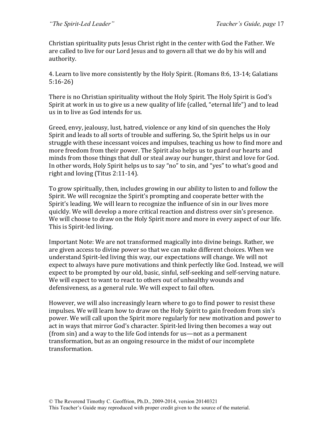Christian spirituality puts Jesus Christ right in the center with God the Father. We are called to live for our Lord Jesus and to govern all that we do by his will and authority.

4. Learn to live more consistently by the Holy Spirit. (Romans 8:6, 13-14; Galatians 5:16-26)

There is no Christian spirituality without the Holy Spirit. The Holy Spirit is God's Spirit at work in us to give us a new quality of life (called, "eternal life") and to lead us in to live as God intends for us.

Greed, envy, jealousy, lust, hatred, violence or any kind of sin quenches the Holy Spirit and leads to all sorts of trouble and suffering. So, the Spirit helps us in our struggle with these incessant voices and impulses, teaching us how to find more and more freedom from their power. The Spirit also helps us to guard our hearts and minds from those things that dull or steal away our hunger, thirst and love for God. In other words, Holy Spirit helps us to say "no" to sin, and "yes" to what's good and right and loving (Titus  $2:11-14$ ).

To grow spiritually, then, includes growing in our ability to listen to and follow the Spirit. We will recognize the Spirit's prompting and cooperate better with the Spirit's leading. We will learn to recognize the influence of sin in our lives more quickly. We will develop a more critical reaction and distress over sin's presence. We will choose to draw on the Holy Spirit more and more in every aspect of our life. This is Spirit-led living.

Important Note: We are not transformed magically into divine beings. Rather, we are given access to divine power so that we can make different choices. When we understand Spirit-led living this way, our expectations will change. We will not expect to always have pure motivations and think perfectly like God. Instead, we will expect to be prompted by our old, basic, sinful, self-seeking and self-serving nature. We will expect to want to react to others out of unhealthy wounds and defensiveness, as a general rule. We will expect to fail often.

However, we will also increasingly learn where to go to find power to resist these impulses. We will learn how to draw on the Holy Spirit to gain freedom from sin's power. We will call upon the Spirit more regularly for new motivation and power to act in ways that mirror God's character. Spirit-led living then becomes a way out (from sin) and a way to the life God intends for us—not as a permanent transformation, but as an ongoing resource in the midst of our incomplete transformation.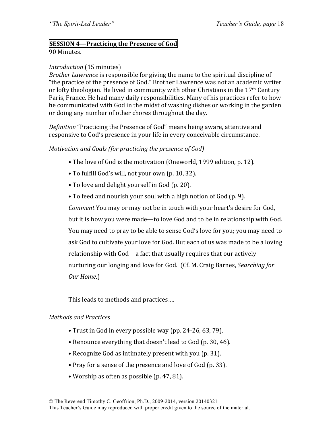#### **SESSION 4—Practicing the Presence of God**

90 Minutes.

#### *Introduction* (15 minutes)

*Brother Lawrence* is responsible for giving the name to the spiritual discipline of "the practice of the presence of God." Brother Lawrence was not an academic writer or lofty theologian. He lived in community with other Christians in the  $17<sup>th</sup>$  Century Paris, France. He had many daily responsibilities. Many of his practices refer to how he communicated with God in the midst of washing dishes or working in the garden or doing any number of other chores throughout the day.

*Definition* "Practicing the Presence of God" means being aware, attentive and responsive to God's presence in your life in every conceivable circumstance.

#### *Motivation and Goals (for practicing the presence of God)*

- The love of God is the motivation (Oneworld, 1999 edition, p. 12).
- To fulfill God's will, not your own (p. 10, 32).
- To love and delight yourself in God (p. 20).
- To feed and nourish your soul with a high notion of God (p. 9).

*Comment* You may or may not be in touch with your heart's desire for God, but it is how you were made—to love God and to be in relationship with God. You may need to pray to be able to sense God's love for you; you may need to ask God to cultivate your love for God. But each of us was made to be a loving relationship with God—a fact that usually requires that our actively nurturing our longing and love for God. (Cf. M. Craig Barnes, *Searching for Our Home*.)

This leads to methods and practices....

#### *Methods and Practices*

- Trust in God in every possible way (pp. 24-26, 63, 79).
- Renounce everything that doesn't lead to God (p. 30, 46).
- Recognize God as intimately present with you (p. 31).
- Pray for a sense of the presence and love of God (p. 33).
- Worship as often as possible (p. 47, 81).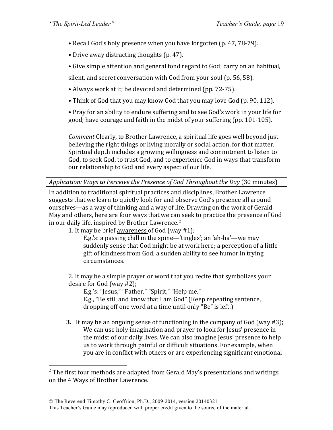- Recall God's holy presence when you have forgotten (p. 47, 78-79).
- Drive away distracting thoughts (p. 47).
- Give simple attention and general fond regard to God; carry on an habitual,

silent, and secret conversation with God from your soul (p. 56, 58).

- Always work at it; be devoted and determined (pp. 72-75).
- Think of God that you may know God that you may love God (p. 90, 112).

• Pray for an ability to endure suffering and to see God's work in your life for good; have courage and faith in the midst of your suffering (pp. 101-105).

*Comment* Clearly, to Brother Lawrence, a spiritual life goes well beyond just believing the right things or living morally or social action, for that matter. Spiritual depth includes a growing willingness and commitment to listen to God, to seek God, to trust God, and to experience God in ways that transform our relationship to God and every aspect of our life.

*Application:* Ways to Perceive the Presence of God Throughout the Day (30 minutes)

In addition to traditional spiritual practices and disciplines, Brother Lawrence suggests that we learn to quietly look for and observe God's presence all around ourselves—as a way of thinking and a way of life. Drawing on the work of Gerald May and others, here are four ways that we can seek to practice the presence of God in our daily life, inspired by Brother Lawrence.<sup>2</sup>

1. It may be brief awareness of God (way  $#1$ );

E.g.'s: a passing chill in the spine—'tingles'; an 'ah-ha'—we may suddenly sense that God might be at work here; a perception of a little gift of kindness from God; a sudden ability to see humor in trying circumstances.

2. It may be a simple prayer or word that you recite that symbolizes your desire for God (way  $#2$ );

E.g.'s: "Jesus," "Father," "Spirit," "Help me."

E.g., "Be still and know that I am God" (Keep repeating sentence, dropping off one word at a time until only "Be" is left.)

**3.** It may be an ongoing sense of functioning in the company of God (way #3); We can use holy imagination and prayer to look for Jesus' presence in the midst of our daily lives. We can also imagine Jesus' presence to help us to work through painful or difficult situations. For example, when you are in conflict with others or are experiencing significant emotional

 $2$  The first four methods are adapted from Gerald May's presentations and writings on the 4 Ways of Brother Lawrence.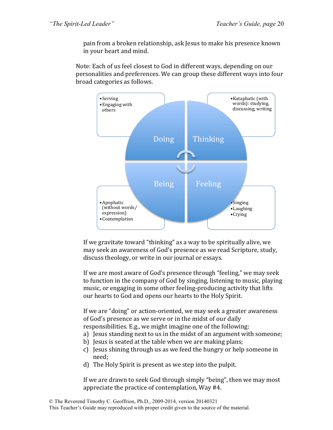pain from a broken relationship, ask Jesus to make his presence known in your heart and mind.

Note: Each of us feel closest to God in different ways, depending on our personalities and preferences. We can group these different ways into four broad categories as follows.



If we gravitate toward "thinking" as a way to be spiritually alive, we may seek an awareness of God's presence as we read Scripture, study, discuss theology, or write in our journal or essays.

If we are most aware of God's presence through "feeling," we may seek to function in the company of God by singing, listening to music, playing music, or engaging in some other feeling-producing activity that lifts our hearts to God and opens our hearts to the Holy Spirit.

If we are "doing" or action-oriented, we may seek a greater awareness of God's presence as we serve or in the midst of our daily responsibilities. E.g., we might imagine one of the following:

- a) Jesus standing next to us in the midst of an argument with someone;
- b) Jesus is seated at the table when we are making plans;
- c) Jesus shining through us as we feed the hungry or help someone in need;
- d) The Holy Spirit is present as we step into the pulpit.

If we are drawn to seek God through simply "being", then we may most appreciate the practice of contemplation, Way  $#4$ .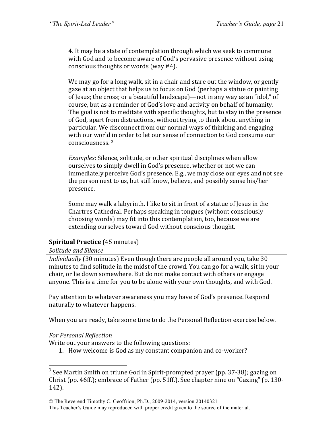4. It may be a state of contemplation through which we seek to commune with God and to become aware of God's pervasive presence without using conscious thoughts or words (way  $#4$ ).

We may go for a long walk, sit in a chair and stare out the window, or gently gaze at an object that helps us to focus on God (perhaps a statue or painting of Jesus; the cross; or a beautiful landscape)—not in any way as an "idol," of course, but as a reminder of God's love and activity on behalf of humanity. The goal is not to meditate with specific thoughts, but to stay in the presence of God, apart from distractions, without trying to think about anything in particular. We disconnect from our normal ways of thinking and engaging with our world in order to let our sense of connection to God consume our consciousness. <sup>3</sup>

*Examples*: Silence, solitude, or other spiritual disciplines when allow ourselves to simply dwell in God's presence, whether or not we can immediately perceive God's presence. E.g., we may close our eyes and not see the person next to us, but still know, believe, and possibly sense his/her presence.

Some may walk a labyrinth. I like to sit in front of a statue of Jesus in the Chartres Cathedral. Perhaps speaking in tongues (without consciously choosing words) may fit into this contemplation, too, because we are extending ourselves toward God without conscious thought.

#### **Spiritual Practice** (45 minutes)

#### *Solitude and Silence*

*Individually* (30 minutes) Even though there are people all around you, take 30 minutes to find solitude in the midst of the crowd. You can go for a walk, sit in your chair, or lie down somewhere. But do not make contact with others or engage anyone. This is a time for you to be alone with your own thoughts, and with God.

Pay attention to whatever awareness you may have of God's presence. Respond naturally to whatever happens.

When you are ready, take some time to do the Personal Reflection exercise below.

#### *For Personal Reflection*

Write out your answers to the following questions:

1. How welcome is God as my constant companion and co-worker?

 $3$  See Martin Smith on triune God in Spirit-prompted prayer (pp. 37-38); gazing on Christ (pp.  $46ff$ .); embrace of Father (pp.  $51ff$ .). See chapter nine on "Gazing" (p. 130-142).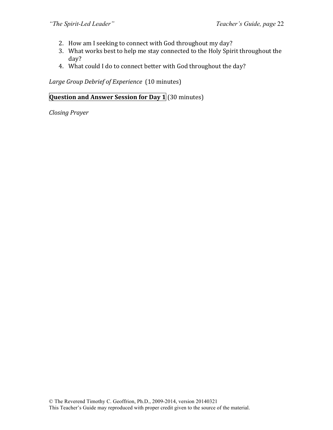- 2. How am I seeking to connect with God throughout my day?
- 3. What works best to help me stay connected to the Holy Spirit throughout the day?
- 4. What could I do to connect better with God throughout the day?

Large Group Debrief of Experience (10 minutes)

**Question and Answer Session for Day 1** (30 minutes)

*Closing Prayer*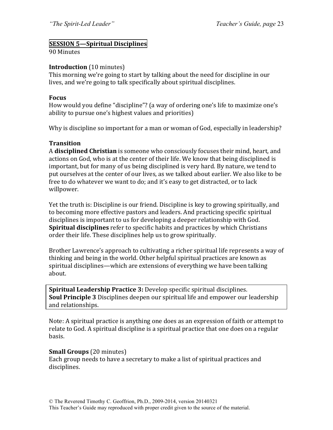#### **SESSION 5—Spiritual Disciplines**

#### 90 Minutes

#### **Introduction** (10 minutes)

This morning we're going to start by talking about the need for discipline in our lives, and we're going to talk specifically about spiritual disciplines.

#### **Focus**

How would you define "discipline"? (a way of ordering one's life to maximize one's ability to pursue one's highest values and priorities)

Why is discipline so important for a man or woman of God, especially in leadership?

#### **Transition**

A **disciplined Christian** is someone who consciously focuses their mind, heart, and actions on God, who is at the center of their life. We know that being disciplined is important, but for many of us being disciplined is very hard. By nature, we tend to put ourselves at the center of our lives, as we talked about earlier. We also like to be free to do whatever we want to do; and it's easy to get distracted, or to lack willpower.

Yet the truth is: Discipline is our friend. Discipline is key to growing spiritually, and to becoming more effective pastors and leaders. And practicing specific spiritual disciplines is important to us for developing a deeper relationship with God. **Spiritual disciplines** refer to specific habits and practices by which Christians order their life. These disciplines help us to grow spiritually.

Brother Lawrence's approach to cultivating a richer spiritual life represents a way of thinking and being in the world. Other helpful spiritual practices are known as spiritual disciplines—which are extensions of everything we have been talking about.

**Spiritual Leadership Practice 3:** Develop specific spiritual disciplines. **Soul Principle 3** Disciplines deepen our spiritual life and empower our leadership and relationships.

Note: A spiritual practice is anything one does as an expression of faith or attempt to relate to God. A spiritual discipline is a spiritual practice that one does on a regular basis.

#### **Small Groups** (20 minutes)

Each group needs to have a secretary to make a list of spiritual practices and disciplines.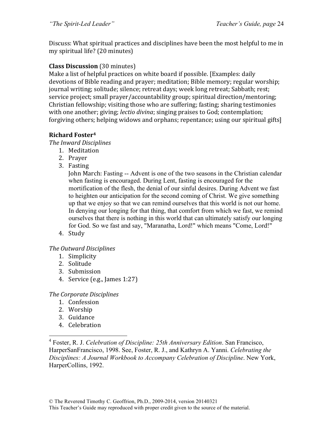Discuss: What spiritual practices and disciplines have been the most helpful to me in my spiritual life? (20 minutes)

#### **Class Discussion** (30 minutes)

Make a list of helpful practices on white board if possible. [Examples: daily devotions of Bible reading and prayer; meditation; Bible memory; regular worship; journal writing; solitude; silence; retreat days; week long retreat; Sabbath; rest; service project; small prayer/accountability group; spiritual direction/mentoring; Christian fellowship; visiting those who are suffering; fasting; sharing testimonies with one another; giving; *lectio divina*; singing praises to God; contemplation; forgiving others; helping widows and orphans; repentance; using our spiritual gifts]

#### **Richard Foster4**

**The Inward Disciplines** 

- 1. Meditation
- 2. Prayer
- 3. Fasting

John March: Fasting -- Advent is one of the two seasons in the Christian calendar when fasting is encouraged. During Lent, fasting is encouraged for the mortification of the flesh, the denial of our sinful desires. During Advent we fast to heighten our anticipation for the second coming of Christ. We give something up that we enjoy so that we can remind ourselves that this world is not our home. In denying our longing for that thing, that comfort from which we fast, we remind ourselves that there is nothing in this world that can ultimately satisfy our longing for God. So we fast and say, "Maranatha, Lord!" which means "Come, Lord!"

4. Study

#### *The Outward Disciplines*

- 1. Simplicity
- 2. Solitude
- 3. Submission
- 4. Service (e.g., James  $1:27$ )

#### *The Corporate Disciplines*

- 1. Confession
- 2. Worship
- 3. Guidance
- 4. Celebration

 4 Foster, R. J. *Celebration of Discipline: 25th Anniversary Edition*. San Francisco, HarperSanFrancisco, 1998. See, Foster, R. J., and Kathryn A. Yanni. *Celebrating the Disciplines: A Journal Workbook to Accompany Celebration of Discipline*. New York, HarperCollins, 1992.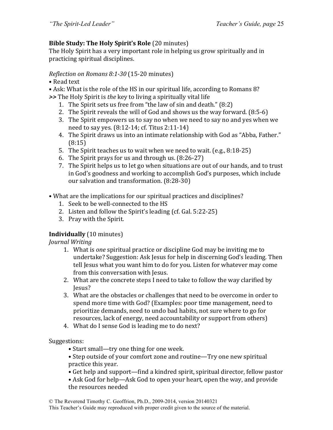#### **Bible Study: The Holy Spirit's Role** (20 minutes)

The Holy Spirit has a very important role in helping us grow spiritually and in practicing spiritual disciplines.

#### *Reflection on Romans 8:1-30* (15-20 minutes)

• Read text

• Ask: What is the role of the HS in our spiritual life, according to Romans 8?

>> The Holy Spirit is *the* key to living a spiritually vital life

- 1. The Spirit sets us free from "the law of sin and death."  $(8:2)$
- 2. The Spirit reveals the will of God and shows us the way forward.  $(8:5-6)$
- 3. The Spirit empowers us to say no when we need to say no and yes when we need to say yes.  $(8:12-14; \text{ cf. Titus } 2:11-14)$
- 4. The Spirit draws us into an intimate relationship with God as "Abba, Father." (8:15)
- 5. The Spirit teaches us to wait when we need to wait. (e.g., 8:18-25)
- 6. The Spirit prays for us and through us.  $(8:26-27)$
- 7. The Spirit helps us to let go when situations are out of our hands, and to trust in God's goodness and working to accomplish God's purposes, which include our salvation and transformation. (8:28-30)
- What are the implications for our spiritual practices and disciplines?
	- 1. Seek to be well-connected to the HS
	- 2. Listen and follow the Spirit's leading (cf. Gal. 5:22-25)
	- 3. Pray with the Spirit.

#### **Individually** (10 minutes)

*Journal Writing*

- 1. What is *one* spiritual practice or discipline God may be inviting me to undertake? Suggestion: Ask Jesus for help in discerning God's leading. Then tell Jesus what you want him to do for you. Listen for whatever may come from this conversation with Jesus.
- 2. What are the concrete steps I need to take to follow the way clarified by Jesus?
- 3. What are the obstacles or challenges that need to be overcome in order to spend more time with God? (Examples: poor time management, need to prioritize demands, need to undo bad habits, not sure where to go for resources, lack of energy, need accountability or support from others)
- 4. What do I sense God is leading me to do next?

Suggestions:

- Start small—try one thing for one week.
- Step outside of your comfort zone and routine—Try one new spiritual practice this year.
- Get help and support—find a kindred spirit, spiritual director, fellow pastor

• Ask God for help—Ask God to open your heart, open the way, and provide the resources needed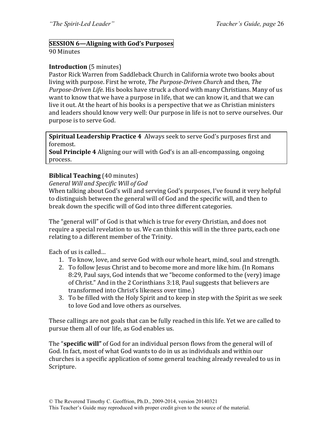### **SESSION 6—Aligning with God's Purposes**

90 Minutes

#### **Introduction** (5 minutes)

Pastor Rick Warren from Saddleback Church in California wrote two books about living with purpose. First he wrote, *The Purpose-Driven Church* and then, *The Purpose-Driven Life*. His books have struck a chord with many Christians. Many of us want to know that we have a purpose in life, that we can know it, and that we can live it out. At the heart of his books is a perspective that we as Christian ministers and leaders should know very well: Our purpose in life is not to serve ourselves. Our purpose is to serve God.

**Spiritual Leadership Practice 4** Always seek to serve God's purposes first and foremost. 

**Soul Principle 4** Aligning our will with God's is an all-encompassing, ongoing process.

#### **Biblical Teaching** (40 minutes)

#### *General Will and Specific Will of God*

When talking about God's will and serving God's purposes, I've found it very helpful to distinguish between the general will of God and the specific will, and then to break down the specific will of God into three different categories.

The "general will" of God is that which is true for every Christian, and does not require a special revelation to us. We can think this will in the three parts, each one relating to a different member of the Trinity.

Each of us is called...

- 1. To know, love, and serve God with our whole heart, mind, soul and strength.
- 2. To follow Jesus Christ and to become more and more like him. (In Romans 8:29, Paul says, God intends that we "become conformed to the (very) image of Christ." And in the 2 Corinthians 3:18, Paul suggests that believers are transformed into Christ's likeness over time.)
- 3. To be filled with the Holy Spirit and to keep in step with the Spirit as we seek to love God and love others as ourselves.

These callings are not goals that can be fully reached in this life. Yet we are called to pursue them all of our life, as God enables us.

The "specific will" of God for an individual person flows from the general will of God. In fact, most of what God wants to do in us as individuals and within our churches is a specific application of some general teaching already revealed to us in Scripture.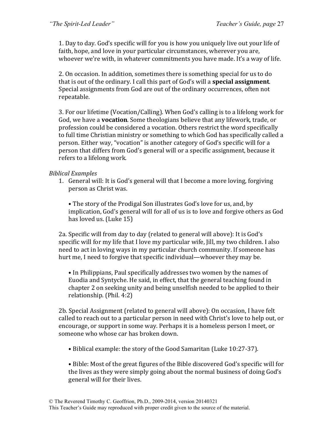1. Day to day. God's specific will for you is how you uniquely live out your life of faith, hope, and love in your particular circumstances, wherever you are, whoever we're with, in whatever commitments you have made. It's a way of life.

2. On occasion. In addition, sometimes there is something special for us to do that is out of the ordinary. I call this part of God's will a **special assignment**. Special assignments from God are out of the ordinary occurrences, often not repeatable. 

3. For our lifetime (Vocation/Calling). When  $God's$  calling is to a lifelong work for God, we have a **vocation**. Some theologians believe that any lifework, trade, or profession could be considered a vocation. Others restrict the word specifically to full time Christian ministry or something to which God has specifically called a person. Either way, "vocation" is another category of God's specific will for a person that differs from God's general will or a specific assignment, because it refers to a lifelong work.

#### *Biblical Examples*

1. General will: It is God's general will that I become a more loving, forgiving person as Christ was.

• The story of the Prodigal Son illustrates God's love for us, and, by implication, God's general will for all of us is to love and forgive others as God has loved us. (Luke  $15$ )

2a. Specific will from day to day (related to general will above): It is God's specific will for my life that I love my particular wife, Jill, my two children. I also need to act in loving ways in my particular church community. If someone has hurt me, I need to forgive that specific individual—whoever they may be.

• In Philippians, Paul specifically addresses two women by the names of Euodia and Syntyche. He said, in effect, that the general teaching found in chapter 2 on seeking unity and being unselfish needed to be applied to their relationship. (Phil. 4:2)

2b. Special Assignment (related to general will above): On occasion. I have felt called to reach out to a particular person in need with Christ's love to help out, or encourage, or support in some way. Perhaps it is a homeless person I meet, or someone who whose car has broken down.

• Biblical example: the story of the Good Samaritan (Luke 10:27-37).

• Bible: Most of the great figures of the Bible discovered God's specific will for the lives as they were simply going about the normal business of doing God's general will for their lives.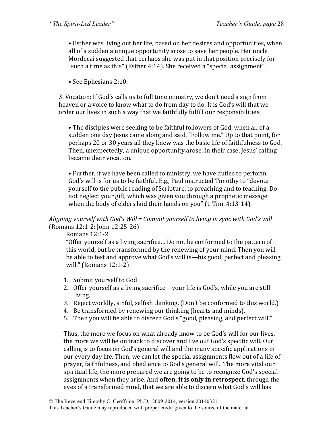• Esther was living out her life, based on her desires and opportunities, when all of a sudden a unique opportunity arose to save her people. Her uncle Mordecai suggested that perhaps she was put in that position precisely for " such a time as this" (Esther 4:14). She received a "special assignment".

• See Ephesians 2:10.

3. Vocation: If God's calls us to full time ministry, we don't need a sign from heaven or a voice to know what to do from day to do. It is God's will that we order our lives in such a way that we faithfully fulfill our responsibilities.

• The disciples were seeking to be faithful followers of God, when all of a sudden one day Jesus came along and said, "Follow me." Up to that point, for perhaps 20 or 30 years all they knew was the basic life of faithfulness to God. Then, unexpectedly, a unique opportunity arose. In their case, Jesus' calling became their vocation.

• Further, if we have been called to ministry, we have duties to perform. God's will is for us to be faithful. E.g., Paul instructed Timothy to "devote yourself to the public reading of Scripture, to preaching and to teaching. Do not neglect your gift, which was given you through a prophetic message when the body of elders laid their hands on you"  $(1$  Tim. 4:13-14).

#### Aligning yourself with God's Will = Commit yourself to living in sync with God's will  $(Romans 12:1-2; John 12:25-26)$

Romans 12:1-2

"Offer yourself as a living sacrifice... Do not be conformed to the pattern of this world, but be transformed by the renewing of your mind. Then you will be able to test and approve what God's will is—his good, perfect and pleasing will." (Romans  $12:1-2$ )

- 1. Submit yourself to God
- 2. Offer yourself as a living sacrifice—your life is God's, while you are still living.
- 3. Reject worldly, sinful, selfish thinking. (Don't be conformed to this world.)
- 4. Be transformed by renewing our thinking (hearts and minds).
- 5. Then you will be able to discern God's "good, pleasing, and perfect will."

Thus, the more we focus on what already know to be God's will for our lives, the more we will be on track to discover and live out God's specific will. Our calling is to focus on God's general will and the many specific applications in our every day life. Then, we can let the special assignments flow out of a life of prayer, faithfulness, and obedience to God's general will. The more vital our spiritual life, the more prepared we are going to be to recognize God's special assignments when they arise. And **often, it is only in retrospect**, through the eyes of a transformed mind, that we are able to discern what God's will has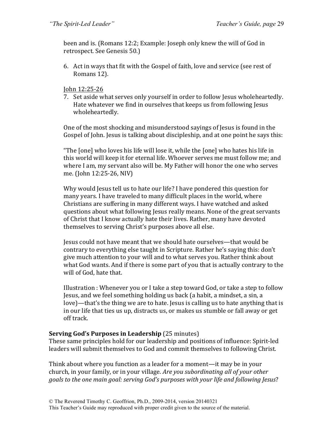been and is. (Romans 12:2; Example: Joseph only knew the will of God in retrospect. See Genesis 50.)

6. Act in ways that fit with the Gospel of faith, love and service (see rest of Romans 12).

John 12:25-26

7. Set aside what serves only yourself in order to follow Jesus wholeheartedly. Hate whatever we find in ourselves that keeps us from following Jesus wholeheartedly.

One of the most shocking and misunderstood sayings of Jesus is found in the Gospel of John. Jesus is talking about discipleship, and at one point he says this:

"The [one] who loves his life will lose it, while the [one] who hates his life in this world will keep it for eternal life. Whoever serves me must follow me; and where I am, my servant also will be. My Father will honor the one who serves me. (John 12:25-26, NIV)

Why would Jesus tell us to hate our life? I have pondered this question for many years. I have traveled to many difficult places in the world, where Christians are suffering in many different ways. I have watched and asked questions about what following Jesus really means. None of the great servants of Christ that I know actually hate their lives. Rather, many have devoted themselves to serving Christ's purposes above all else.

Jesus could not have meant that we should hate ourselves—that would be contrary to everything else taught in Scripture. Rather he's saying this: don't give much attention to your will and to what serves you. Rather think about what God wants. And if there is some part of you that is actually contrary to the will of God, hate that.

Illustration : Whenever you or I take a step toward God, or take a step to follow Jesus, and we feel something holding us back (a habit, a mindset, a sin, a love)—that's the thing we are to hate. Jesus is calling us to hate anything that is in our life that ties us up, distracts us, or makes us stumble or fall away or get off track.

#### **Serving God's Purposes in Leadership** (25 minutes)

These same principles hold for our leadership and positions of influence: Spirit-led leaders will submit themselves to God and commit themselves to following Christ.

Think about where you function as a leader for a moment—it may be in your church, in your family, or in your village. Are you subordinating all of your other goals to the one main goal: serving God's purposes with your life and following *Jesus*?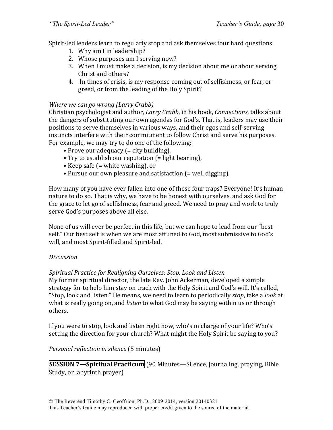Spirit-led leaders learn to regularly stop and ask themselves four hard questions:

- 1. Why am I in leadership?
- 2. Whose purposes am I serving now?
- 3. When I must make a decision, is my decision about me or about serving Christ and others?
- 4. In times of crisis, is my response coming out of selfishness, or fear, or greed, or from the leading of the Holy Spirit?

#### *Where* we can go wrong (Larry Crabb)

Christian psychologist and author, *Larry Crabb*, in his book, *Connections*, talks about the dangers of substituting our own agendas for God's. That is, leaders may use their positions to serve themselves in various ways, and their egos and self-serving instincts interfere with their commitment to follow Christ and serve his purposes. For example, we may try to do one of the following:

- Prove our adequacy (= city building),
- Try to establish our reputation (= light bearing),
- Keep safe  $($  = white washing), or
- Pursue our own pleasure and satisfaction (= well digging).

How many of you have ever fallen into one of these four traps? Everyone! It's human nature to do so. That is why, we have to be honest with ourselves, and ask God for the grace to let go of selfishness, fear and greed. We need to pray and work to truly serve God's purposes above all else.

None of us will ever be perfect in this life, but we can hope to lead from our "best self." Our best self is when we are most attuned to God, most submissive to God's will, and most Spirit-filled and Spirit-led.

#### *Discussion*

#### *Spiritual Practice for Realigning Ourselves: Stop, Look and Listen*

My former spiritual director, the late Rev. John Ackerman, developed a simple strategy for to help him stay on track with the Holy Spirit and God's will. It's called, "Stop, look and listen." He means, we need to learn to periodically *stop*, take a *look* at what is really going on, and *listen* to what God may be saying within us or through others.

If you were to stop, look and listen right now, who's in charge of your life? Who's setting the direction for your church? What might the Holy Spirit be saying to you?

#### *Personal reflection in silence* (5 minutes)

**SESSION 7—Spiritual Practicum** (90 Minutes—Silence, journaling, praying, Bible Study, or labyrinth prayer)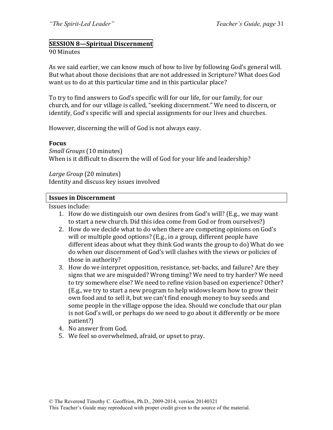#### **SESSION 8—Spiritual Discernment**

#### 90 Minutes

As we said earlier, we can know much of how to live by following God's general will. But what about those decisions that are not addressed in Scripture? What does God want us to do at this particular time and in this particular place?

To try to find answers to God's specific will for our life, for our family, for our church, and for our village is called, "seeking discernment." We need to discern, or identify, God's specific will and special assignments for our lives and churches.

However, discerning the will of God is not always easy.

#### **Focus**

*Small Groups* (10 minutes) When is it difficult to discern the will of God for your life and leadership?

*Large Group* (20 minutes) Identity and discuss key issues involved

#### **Issues in Discernment**

Issues include:

- 1. How do we distinguish our own desires from God's will? (E.g., we may want to start a new church. Did this idea come from God or from ourselves?)
- 2. How do we decide what to do when there are competing opinions on God's will or multiple good options? (E.g., in a group, different people have different ideas about what they think God wants the group to do) What do we do when our discernment of God's will clashes with the views or policies of those in authority?
- 3. How do we interpret opposition, resistance, set-backs, and failure? Are they signs that we are misguided? Wrong timing? We need to try harder? We need to try somewhere else? We need to refine vision based on experience? Other? (E.g., we try to start a new program to help widows learn how to grow their own food and to sell it, but we can't find enough money to buy seeds and some people in the village oppose the idea. Should we conclude that our plan is not God's will, or perhaps do we need to go about it differently or be more patient?)
- 4. No answer from God.
- 5. We feel so overwhelmed, afraid, or upset to pray.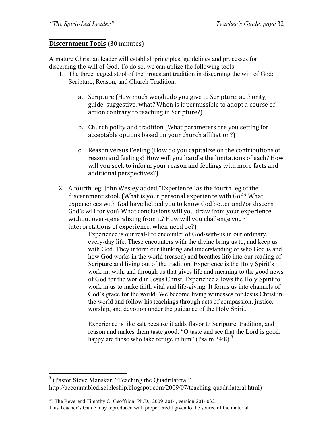#### **Discernment Tools** (30 minutes)

A mature Christian leader will establish principles, guidelines and processes for discerning the will of God. To do so, we can utilize the following tools:

- 1. The three legged stool of the Protestant tradition in discerning the will of God: Scripture, Reason, and Church Tradition.
	- a. Scripture (How much weight do you give to Scripture: authority, guide, suggestive, what? When is it permissible to adopt a course of action contrary to teaching in Scripture?)
	- b. Church polity and tradition (What parameters are you setting for acceptable options based on your church affiliation?)
	- c. Reason versus Feeling (How do you capitalize on the contributions of reason and feelings? How will you handle the limitations of each? How will you seek to inform your reason and feelings with more facts and additional perspectives?)
- 2. A fourth leg: John Wesley added "Experience" as the fourth leg of the discernment stool. (What is your personal experience with God? What experiences with God have helped you to know God better and/or discern God's will for you? What conclusions will you draw from your experience without over-generalizing from it? How will you challenge your interpretations of experience, when need be?)

Experience is our real-life encounter of God-with-us in our ordinary, every-day life. These encounters with the divine bring us to, and keep us with God. They inform our thinking and understanding of who God is and how God works in the world (reason) and breathes life into our reading of Scripture and living out of the tradition. Experience is the Holy Spirit's work in, with, and through us that gives life and meaning to the good news of God for the world in Jesus Christ. Experience allows the Holy Spirit to work in us to make faith vital and life-giving. It forms us into channels of God's grace for the world. We become living witnesses for Jesus Christ in the world and follow his teachings through acts of compassion, justice, worship, and devotion under the guidance of the Holy Spirit.

Experience is like salt because it adds flavor to Scripture, tradition, and reason and makes them taste good. "O taste and see that the Lord is good; happy are those who take refuge in him" (Psalm  $34:8$ ).<sup>5</sup>

 <sup>5</sup> (Pastor Steve Manskar, "Teaching the Quadrilateral" http://accountablediscipleship.blogspot.com/2009/07/teaching-quadrilateral.html)

<sup>©</sup> The Reverend Timothy C. Geoffrion, Ph.D., 2009-2014, version 20140321 This Teacher's Guide may reproduced with proper credit given to the source of the material.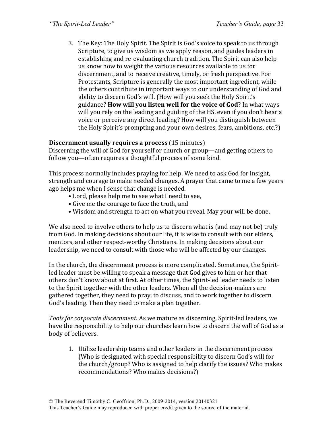3. The Key: The Holy Spirit. The Spirit is God's voice to speak to us through Scripture, to give us wisdom as we apply reason, and guides leaders in establishing and re-evaluating church tradition. The Spirit can also help us know how to weight the various resources available to us for discernment, and to receive creative, timely, or fresh perspective. For Protestants, Scripture is generally the most important ingredient, while the others contribute in important ways to our understanding of God and ability to discern God's will. (How will you seek the Holy Spirit's guidance? **How will you listen well for the voice of God**? In what ways will you rely on the leading and guiding of the HS, even if you don't hear a voice or perceive any direct leading? How will you distinguish between the Holy Spirit's prompting and your own desires, fears, ambitions, etc.?)

#### **Discernment usually requires a process** (15 minutes)

Discerning the will of God for yourself or church or group—and getting others to follow you—often requires a thoughtful process of some kind.

This process normally includes praying for help. We need to ask God for insight, strength and courage to make needed changes. A prayer that came to me a few years ago helps me when I sense that change is needed.

- Lord, please help me to see what I need to see,
- Give me the courage to face the truth, and
- Wisdom and strength to act on what you reveal. May your will be done.

We also need to involve others to help us to discern what is (and may not be) truly from God. In making decisions about our life, it is wise to consult with our elders, mentors, and other respect-worthy Christians. In making decisions about our leadership, we need to consult with those who will be affected by our changes.

In the church, the discernment process is more complicated. Sometimes, the Spiritled leader must be willing to speak a message that God gives to him or her that others don't know about at first. At other times, the Spirit-led leader needs to listen to the Spirit together with the other leaders. When all the decision-makers are gathered together, they need to pray, to discuss, and to work together to discern God's leading. Then they need to make a plan together.

*Tools for corporate discernment.* As we mature as discerning, Spirit-led leaders, we have the responsibility to help our churches learn how to discern the will of God as a body of believers.

1. Utilize leadership teams and other leaders in the discernment process (Who is designated with special responsibility to discern God's will for the church/group? Who is assigned to help clarify the issues? Who makes recommendations? Who makes decisions?)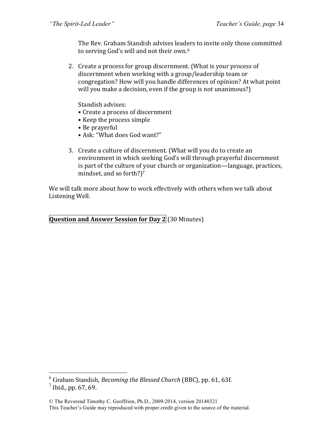The Rev. Graham Standish advises leaders to invite only those committed to serving God's will and not their own.<sup>6</sup>

2. Create a process for group discernment. (What is your process of discernment when working with a group/leadership team or congregation? How will you handle differences of opinion? At what point will you make a decision, even if the group is not unanimous?)

Standish advises:

- Create a process of discernment
- Keep the process simple
- Be prayerful
- Ask: "What does God want?"
- 3. Create a culture of discernment. (What will you do to create an environment in which seeking God's will through prayerful discernment is part of the culture of your church or organization—language, practices, mindset, and so forth?)<sup>7</sup>

We will talk more about how to work effectively with others when we talk about Listening Well.

**Question and Answer Session for Day 2** (30 Minutes)

<sup>&</sup>lt;sup>6</sup> Graham Standish, *Becoming the Blessed Church* (BBC), pp. 61, 63f.

 $^7$  Ibid., pp. 67, 69.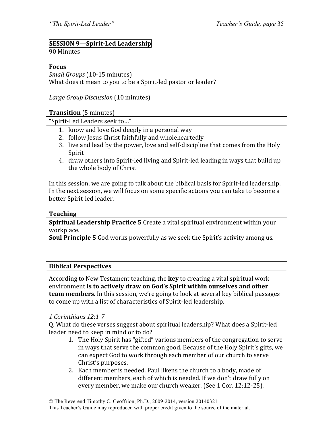## **SESSION 9—Spirit-Led Leadership**

#### 90 Minutes

#### **Focus**

*Small Groups* (10-15 minutes) What does it mean to you to be a Spirit-led pastor or leader?

*Large Group Discussion* (10 minutes)

#### **Transition** (5 minutes)

"Spirit-Led Leaders seek to..."

- 1. know and love God deeply in a personal way
- 2. follow Jesus Christ faithfully and wholeheartedly
- 3. live and lead by the power, love and self-discipline that comes from the Holy Spirit
- 4. draw others into Spirit-led living and Spirit-led leading in ways that build up the whole body of Christ

In this session, we are going to talk about the biblical basis for Spirit-led leadership. In the next session, we will focus on some specific actions you can take to become a better Spirit-led leader.

#### **Teaching**

**Spiritual Leadership Practice 5** Create a vital spiritual environment within your workplace.

**Soul Principle 5** God works powerfully as we seek the Spirit's activity among us.

#### **Biblical Perspectives**

According to New Testament teaching, the **key** to creating a vital spiritual work environment **is to actively draw on God's Spirit within ourselves and other team members**. In this session, we're going to look at several key biblical passages to come up with a list of characteristics of Spirit-led leadership.

#### *1 Corinthians 12:1-7*

Q. What do these verses suggest about spiritual leadership? What does a Spirit-led leader need to keep in mind or to do?

- 1. The Holy Spirit has "gifted" various members of the congregation to serve in ways that serve the common good. Because of the Holy Spirit's gifts, we can expect God to work through each member of our church to serve Christ's purposes.
- 2. Each member is needed. Paul likens the church to a body, made of different members, each of which is needed. If we don't draw fully on every member, we make our church weaker. (See 1 Cor. 12:12-25).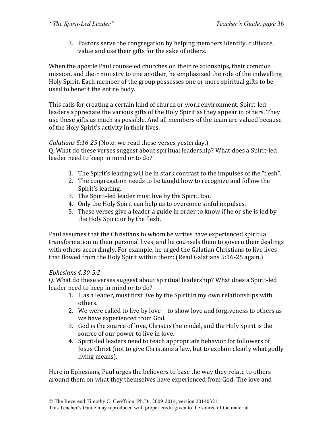3. Pastors serve the congregation by helping members identify, cultivate, value and use their gifts for the sake of others.

When the apostle Paul counseled churches on their relationships, their common mission, and their ministry to one another, he emphasized the role of the indwelling Holy Spirit. Each member of the group possesses one or more spiritual gifts to be used to benefit the entire body.

This calls for creating a certain kind of church or work environment. Spirit-led leaders appreciate the various gifts of the Holy Spirit as they appear in others. They use these gifts as much as possible. And all members of the team are valued because of the Holy Spirit's activity in their lives.

### *Galatians* 5:16-25 (Note: we read these verses yesterday.)

Q. What do these verses suggest about spiritual leadership? What does a Spirit-led leader need to keep in mind or to do?

- 1. The Spirit's leading will be in stark contrast to the impulses of the "flesh".
- 2. The congregation needs to be taught how to recognize and follow the Spirit's leading.
- 3. The Spirit-led leader must live by the Spirit, too.
- 4. Only the Holy Spirit can help us to overcome sinful impulses.
- 5. These verses give a leader a guide in order to know if he or she is led by the Holy Spirit or by the flesh.

Paul assumes that the Christians to whom he writes have experienced spiritual transformation in their personal lives, and he counsels them to govern their dealings with others accordingly. For example, he urged the Galatian Christians to live lives that flowed from the Holy Spirit within them: (Read Galatians  $5:16-25$  again.)

#### *Ephesians 4:30-5:2*

Q. What do these verses suggest about spiritual leadership? What does a Spirit-led leader need to keep in mind or to do?

- 1. I, as a leader, must first live by the Spirit in my own relationships with others.
- 2. We were called to live by love—to show love and forgiveness to others as we have experienced from God.
- 3. God is the source of love, Christ is the model, and the Holy Spirit is the source of our power to live in love.
- 4. Spirit-led leaders need to teach appropriate behavior for followers of Jesus Christ (not to give Christians a law, but to explain clearly what godly living means).

Here in Ephesians, Paul urges the believers to base the way they relate to others around them on what they themselves have experienced from God. The love and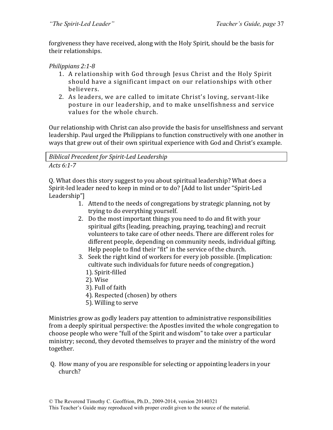forgiveness they have received, along with the Holy Spirit, should be the basis for their relationships.

### *Philippians 2:1-8*

- 1. A relationship with God through Jesus Christ and the Holy Spirit should have a significant impact on our relationships with other believers.
- 2. As leaders, we are called to imitate Christ's loving, servant-like posture in our leadership, and to make unselfishness and service values for the whole church.

Our relationship with Christ can also provide the basis for unselfishness and servant leadership. Paul urged the Philippians to function constructively with one another in ways that grew out of their own spiritual experience with God and Christ's example.

*Biblical Precedent for Spirit-Led Leadership*

#### *Acts 6:1-7*

Q. What does this story suggest to you about spiritual leadership? What does a Spirit-led leader need to keep in mind or to do? [Add to list under "Spirit-Led Leadership"]

- 1. Attend to the needs of congregations by strategic planning, not by trying to do everything yourself.
- 2. Do the most important things you need to do and fit with your spiritual gifts (leading, preaching, praying, teaching) and recruit volunteers to take care of other needs. There are different roles for different people, depending on community needs, individual gifting. Help people to find their "fit" in the service of the church.
- 3. Seek the right kind of workers for every job possible. (Implication: cultivate such individuals for future needs of congregation.)
	- 1). Spirit-filled
	- 2). Wise
	- 3). Full of faith
	- 4). Respected (chosen) by others
	- 5). Willing to serve

Ministries grow as godly leaders pay attention to administrative responsibilities from a deeply spiritual perspective: the Apostles invited the whole congregation to choose people who were "full of the Spirit and wisdom" to take over a particular ministry; second, they devoted themselves to prayer and the ministry of the word together.

Q. How many of you are responsible for selecting or appointing leaders in your church?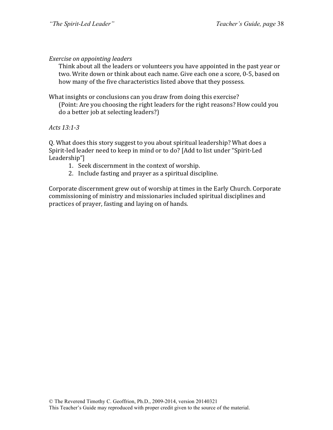### *Exercise on appointing leaders*

Think about all the leaders or volunteers you have appointed in the past year or two. Write down or think about each name. Give each one a score, 0-5, based on how many of the five characteristics listed above that they possess.

What insights or conclusions can you draw from doing this exercise?

(Point: Are you choosing the right leaders for the right reasons? How could you do a better job at selecting leaders?)

*Acts 13:1-3*

Q. What does this story suggest to you about spiritual leadership? What does a Spirit-led leader need to keep in mind or to do? [Add to list under "Spirit-Led Leadership"]

- 1. Seek discernment in the context of worship.
- 2. Include fasting and prayer as a spiritual discipline.

Corporate discernment grew out of worship at times in the Early Church. Corporate commissioning of ministry and missionaries included spiritual disciplines and practices of prayer, fasting and laying on of hands.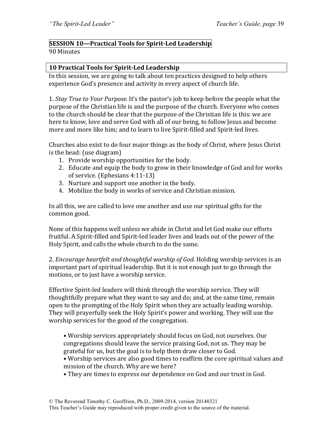# **SESSION 10—Practical Tools for Spirit-Led Leadership**

#### 90 Minutes

### **10 Practical Tools for Spirit-Led Leadership**

In this session, we are going to talk about ten practices designed to help others experience God's presence and activity in every aspect of church life.

1. *Stay True to Your Purpose.* It's the pastor's job to keep before the people what the purpose of the Christian life is and the purpose of the church. Everyone who comes to the church should be clear that the purpose of the Christian life is this: we are here to know, love and serve God with all of our being, to follow Jesus and become more and more like him; and to learn to live Spirit-filled and Spirit-led lives.

Churches also exist to do four major things as the body of Christ, where Jesus Christ is the head: (use diagram)

- 1. Provide worship opportunities for the body.
- 2. Educate and equip the body to grow in their knowledge of God and for works of service. (Ephesians 4:11-13)
- 3. Nurture and support one another in the body.
- 4. Mobilize the body in works of service and Christian mission.

In all this, we are called to love one another and use our spiritual gifts for the common good.

None of this happens well unless we abide in Christ and let God make our efforts fruitful. A Spirit-filled and Spirit-led leader lives and leads out of the power of the Holy Spirit, and calls the whole church to do the same.

2. *Encourage heartfelt and thoughtful worship of God*. Holding worship services is an important part of spiritual leadership. But it is not enough just to go through the motions, or to just have a worship service.

Effective Spirit-led leaders will think through the worship service. They will thoughtfully prepare what they want to say and do; and, at the same time, remain open to the prompting of the Holy Spirit when they are actually leading worship. They will prayerfully seek the Holy Spirit's power and working. They will use the worship services for the good of the congregation.

- Worship services appropriately should focus on God, not ourselves. Our congregations should leave the service praising God, not us. They may be grateful for us, but the goal is to help them draw closer to God.
- Worship services are also good times to reaffirm the core spiritual values and mission of the church. Why are we here?
- They are times to express our dependence on God and our trust in God.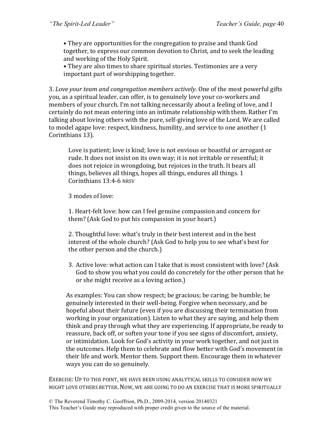• They are opportunities for the congregation to praise and thank God together, to express our common devotion to Christ, and to seek the leading and working of the Holy Spirit.

• They are also times to share spiritual stories. Testimonies are a very important part of worshipping together.

3. Love your team and congregation members actively. One of the most powerful gifts you, as a spiritual leader, can offer, is to genuinely love your co-workers and members of your church. I'm not talking necessarily about a feeling of love, and I certainly do not mean entering into an intimate relationship with them. Rather I'm talking about loving others with the pure, self-giving love of the Lord. We are called to model agape love: respect, kindness, humility, and service to one another (1) Corinthians 13).

Love is patient; love is kind; love is not envious or boastful or arrogant or rude. It does not insist on its own way; it is not irritable or resentful; it does not rejoice in wrongdoing, but rejoices in the truth. It bears all things, believes all things, hopes all things, endures all things. 1 Corinthians 13:4-6 NRSV

3 modes of love:

1. Heart-felt love: how can I feel genuine compassion and concern for them? (Ask God to put his compassion in your heart.)

2. Thoughtful love: what's truly in their best interest and in the best interest of the whole church? (Ask God to help you to see what's best for the other person and the church.)

3. Active love: what action can I take that is most consistent with love? (Ask) God to show you what you could do concretely for the other person that he or she might receive as a loving action.)

As examples: You can show respect; be gracious; be caring; be humble; be genuinely interested in their well-being. Forgive when necessary, and be hopeful about their future (even if you are discussing their termination from working in your organization). Listen to what they are saying, and help them think and pray through what they are experiencing. If appropriate, be ready to reassure, back off, or soften your tone if you see signs of discomfort, anxiety, or intimidation. Look for God's activity in your work together, and not just in the outcomes. Help them to celebrate and flow better with God's movement in their life and work. Mentor them. Support them. Encourage them in whatever ways you can do so genuinely.

EXERCISE: UP TO THIS POINT, WE HAVE BEEN USING ANALYTICAL SKILLS TO CONSIDER HOW WE MIGHT LOVE OTHERS BETTER. NOW, WE ARE GOING TO DO AN EXERCISE THAT IS MORE SPIRITUALLY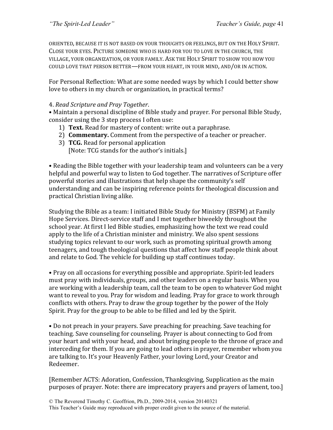ORIENTED, BECAUSE IT IS NOT BASED ON YOUR THOUGHTS OR FEELINGS, BUT ON THE HOLY SPIRIT. CLOSE YOUR EYES. PICTURE SOMEONE WHO IS HARD FOR YOU TO LOVE IN THE CHURCH, THE VILLAGE, YOUR ORGANIZATION, OR YOUR FAMILY. ASK THE HOLY SPIRIT TO SHOW YOU HOW YOU COULD LOVE THAT PERSON BETTER—FROM YOUR HEART, IN YOUR MIND, AND/OR IN ACTION.

For Personal Reflection: What are some needed ways by which I could better show love to others in my church or organization, in practical terms?

#### 4. *Read Scripture and Pray Together*.

• Maintain a personal discipline of Bible study and prayer. For personal Bible Study, consider using the 3 step process I often use:

- 1) **Text.** Read for mastery of content: write out a paraphrase.
- 2) **Commentary.** Comment from the perspective of a teacher or preacher.
- 3) **TCG.** Read for personal application [Note: TCG stands for the author's initials.]

• Reading the Bible together with your leadership team and volunteers can be a very helpful and powerful way to listen to God together. The narratives of Scripture offer powerful stories and illustrations that help shape the community's self understanding and can be inspiring reference points for theological discussion and practical Christian living alike.

Studying the Bible as a team: I initiated Bible Study for Ministry (BSFM) at Family Hope Services. Direct-service staff and I met together biweekly throughout the school year. At first I led Bible studies, emphasizing how the text we read could apply to the life of a Christian minister and ministry. We also spent sessions studying topics relevant to our work, such as promoting spiritual growth among teenagers, and tough theological questions that affect how staff people think about and relate to God. The vehicle for building up staff continues today.

• Pray on all occasions for everything possible and appropriate. Spirit-led leaders must pray with individuals, groups, and other leaders on a regular basis. When you are working with a leadership team, call the team to be open to whatever God might want to reveal to you. Pray for wisdom and leading. Pray for grace to work through conflicts with others. Pray to draw the group together by the power of the Holy Spirit. Pray for the group to be able to be filled and led by the Spirit.

• Do not preach in your prayers. Save preaching for preaching. Save teaching for teaching. Save counseling for counseling. Prayer is about connecting to God from your heart and with your head, and about bringing people to the throne of grace and interceding for them. If you are going to lead others in prayer, remember whom you are talking to. It's your Heavenly Father, your loving Lord, your Creator and Redeemer. 

[Remember ACTS: Adoration, Confession, Thanksgiving, Supplication as the main purposes of prayer. Note: there are imprecatory prayers and prayers of lament, too.]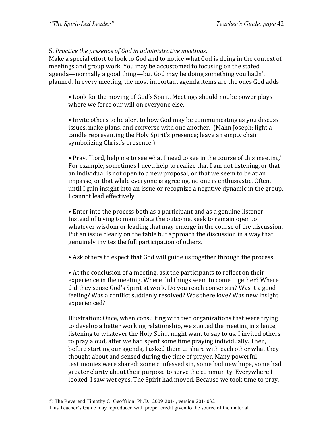5. Practice the presence of God in administrative meetings.

Make a special effort to look to God and to notice what God is doing in the context of meetings and group work. You may be accustomed to focusing on the stated agenda—normally a good thing—but God may be doing something you hadn't planned. In every meeting, the most important agenda items are the ones God adds!

• Look for the moving of God's Spirit. Meetings should not be power plays where we force our will on everyone else.

• Invite others to be alert to how God may be communicating as you discuss issues, make plans, and converse with one another. (Mahn Joseph: light a candle representing the Holy Spirit's presence; leave an empty chair symbolizing Christ's presence.)

• Pray, "Lord, help me to see what I need to see in the course of this meeting." For example, sometimes I need help to realize that I am not listening, or that an individual is not open to a new proposal, or that we seem to be at an impasse, or that while everyone is agreeing, no one is enthusiastic. Often, until I gain insight into an issue or recognize a negative dynamic in the group, I cannot lead effectively.

• Enter into the process both as a participant and as a genuine listener. Instead of trying to manipulate the outcome, seek to remain open to whatever wisdom or leading that may emerge in the course of the discussion. Put an issue clearly on the table but approach the discussion in a way that genuinely invites the full participation of others.

• Ask others to expect that God will guide us together through the process.

• At the conclusion of a meeting, ask the participants to reflect on their experience in the meeting. Where did things seem to come together? Where did they sense God's Spirit at work. Do you reach consensus? Was it a good feeling? Was a conflict suddenly resolved? Was there love? Was new insight experienced?

Illustration: Once, when consulting with two organizations that were trying to develop a better working relationship, we started the meeting in silence, listening to whatever the Holy Spirit might want to say to us. I invited others to pray aloud, after we had spent some time praying individually. Then, before starting our agenda, I asked them to share with each other what they thought about and sensed during the time of prayer. Many powerful testimonies were shared: some confessed sin, some had new hope, some had greater clarity about their purpose to serve the community. Everywhere I looked, I saw wet eyes. The Spirit had moved. Because we took time to pray,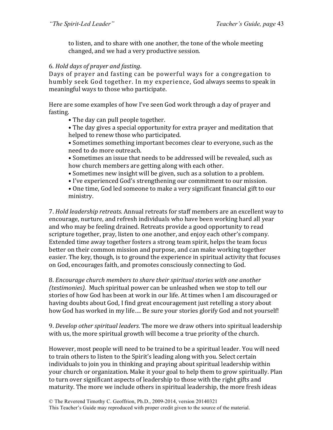to listen, and to share with one another, the tone of the whole meeting changed, and we had a very productive session.

#### 6*. Hold days of prayer and fasting*.

Days of prayer and fasting can be powerful ways for a congregation to humbly seek God together. In my experience, God always seems to speak in meaningful ways to those who participate.

Here are some examples of how I've seen God work through a day of prayer and fasting. 

- The day can pull people together.
- The day gives a special opportunity for extra prayer and meditation that helped to renew those who participated.
- Sometimes something important becomes clear to everyone, such as the need to do more outreach.
- Sometimes an issue that needs to be addressed will be revealed, such as how church members are getting along with each other.
- Sometimes new insight will be given, such as a solution to a problem.
- I've experienced God's strengthening our commitment to our mission.

• One time, God led someone to make a very significant financial gift to our ministry.

7. *Hold leadership retreats.* Annual retreats for staff members are an excellent way to encourage, nurture, and refresh individuals who have been working hard all year and who may be feeling drained. Retreats provide a good opportunity to read scripture together, pray, listen to one another, and enjoy each other's company. Extended time away together fosters a strong team spirit, helps the team focus better on their common mission and purpose, and can make working together easier. The key, though, is to ground the experience in spiritual activity that focuses on God, encourages faith, and promotes consciously connecting to God.

8. *Encourage church members to share their spiritual stories with one another (testimonies).* Much spiritual power can be unleashed when we stop to tell our stories of how God has been at work in our life. At times when I am discouraged or having doubts about God, I find great encouragement just retelling a story about how God has worked in my life.... Be sure your stories glorify God and not yourself!

9. *Develop other spiritual leaders*. The more we draw others into spiritual leadership with us, the more spiritual growth will become a true priority of the church.

However, most people will need to be trained to be a spiritual leader. You will need to train others to listen to the Spirit's leading along with you. Select certain individuals to join you in thinking and praying about spiritual leadership within your church or organization. Make it your goal to help them to grow spiritually. Plan to turn over significant aspects of leadership to those with the right gifts and maturity. The more we include others in spiritual leadership, the more fresh ideas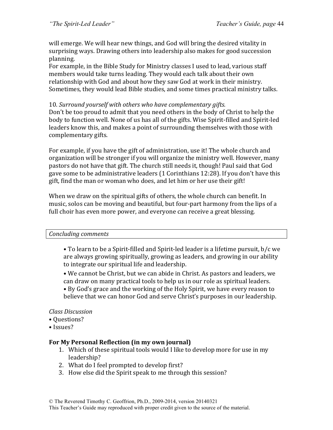will emerge. We will hear new things, and God will bring the desired vitality in surprising ways. Drawing others into leadership also makes for good succession planning.

For example, in the Bible Study for Ministry classes I used to lead, various staff members would take turns leading. They would each talk about their own relationship with God and about how they saw God at work in their ministry. Sometimes, they would lead Bible studies, and some times practical ministry talks.

### 10. Surround yourself with others who have complementary gifts.

Don't be too proud to admit that you need others in the body of Christ to help the body to function well. None of us has all of the gifts. Wise Spirit-filled and Spirit-led leaders know this, and makes a point of surrounding themselves with those with complementary gifts.

For example, if you have the gift of administration, use it! The whole church and organization will be stronger if you will organize the ministry well. However, many pastors do not have that gift. The church still needs it, though! Paul said that God gave some to be administrative leaders (1 Corinthians 12:28). If you don't have this gift, find the man or woman who does, and let him or her use their gift!

When we draw on the spiritual gifts of others, the whole church can benefit. In music, solos can be moving and beautiful, but four-part harmony from the lips of a full choir has even more power, and everyone can receive a great blessing.

#### *Concluding comments*

• To learn to be a Spirit-filled and Spirit-led leader is a lifetime pursuit, b/c we are always growing spiritually, growing as leaders, and growing in our ability to integrate our spiritual life and leadership.

• We cannot be Christ, but we can abide in Christ. As pastors and leaders, we can draw on many practical tools to help us in our role as spiritual leaders.

• By God's grace and the working of the Holy Spirit, we have every reason to believe that we can honor God and serve Christ's purposes in our leadership.

### *Class Discussion*

- • Questions?
- • Issues?

### For My Personal Reflection (in my own journal)

- 1. Which of these spiritual tools would I like to develop more for use in my leadership?
- 2. What do I feel prompted to develop first?
- 3. How else did the Spirit speak to me through this session?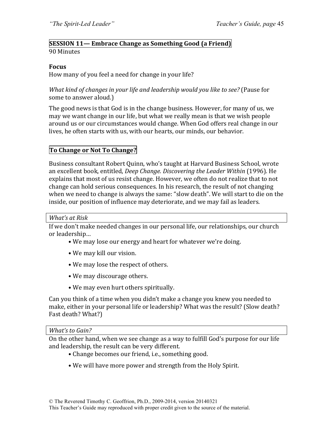### **SESSION 11— Embrace Change as Something Good (a Friend)** 90 Minutes

#### **Focus**

How many of you feel a need for change in your life?

*What kind of changes in your life and leadership would you like to see?* (Pause for some to answer aloud.)

The good news is that God is in the change business. However, for many of us, we may we want change in our life, but what we really mean is that we wish people around us or our circumstances would change. When God offers real change in our lives, he often starts with us, with our hearts, our minds, our behavior.

### **To Change or Not To Change?**

Business consultant Robert Quinn, who's taught at Harvard Business School, wrote an excellent book, entitled, *Deep Change. Discovering the Leader Within* (1996). He explains that most of us resist change. However, we often do not realize that to not change can hold serious consequences. In his research, the result of not changing when we need to change is always the same: "slow death". We will start to die on the inside, our position of influence may deteriorate, and we may fail as leaders.

#### *What's at Risk*

If we don't make needed changes in our personal life, our relationships, our church or leadership...

- We may lose our energy and heart for whatever we're doing.
- We may kill our vision.
- We may lose the respect of others.
- We may discourage others.
- We may even hurt others spiritually.

Can you think of a time when you didn't make a change you knew you needed to make, either in your personal life or leadership? What was the result? (Slow death? Fast death? What?)

#### *What's to Gain?*

On the other hand, when we see change as a way to fulfill God's purpose for our life and leadership, the result can be very different.

- Change becomes our friend, i.e., something good.
- We will have more power and strength from the Holy Spirit.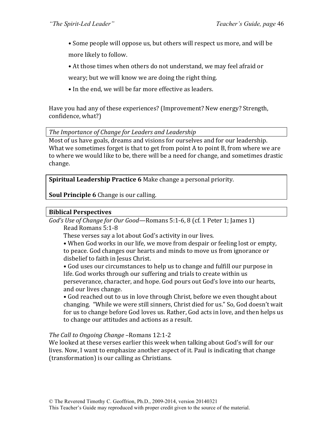• Some people will oppose us, but others will respect us more, and will be more likely to follow.

• At those times when others do not understand, we may feel afraid or

weary; but we will know we are doing the right thing.

• In the end, we will be far more effective as leaders.

Have you had any of these experiences? (Improvement? New energy? Strength, confidence, what?)

The Importance of Change for Leaders and Leadership

Most of us have goals, dreams and visions for ourselves and for our leadership. What we sometimes forget is that to get from point  $A$  to point  $B$ , from where we are to where we would like to be, there will be a need for change, and sometimes drastic change. 

**Spiritual Leadership Practice 6** Make change a personal priority.

**Soul Principle 6** Change is our calling.

### **Biblical Perspectives**

*God's* Use of *Change for Our Good*—Romans 5:1-6, 8 (cf. 1 Peter 1; James 1) Read Romans 5:1-8

These verses say a lot about God's activity in our lives.

• When God works in our life, we move from despair or feeling lost or empty, to peace. God changes our hearts and minds to move us from ignorance or disbelief to faith in Jesus Christ.

• God uses our circumstances to help us to change and fulfill our purpose in life. God works through our suffering and trials to create within us perseverance, character, and hope. God pours out God's love into our hearts, and our lives change.

• God reached out to us in love through Christ, before we even thought about changing. "While we were still sinners, Christ died for us." So, God doesn't wait for us to change before God loves us. Rather, God acts in love, and then helps us to change our attitudes and actions as a result.

### *The Call to Ongoing Change* –Romans 12:1-2

We looked at these verses earlier this week when talking about God's will for our lives. Now, I want to emphasize another aspect of it. Paul is indicating that change (transformation) is our calling as Christians.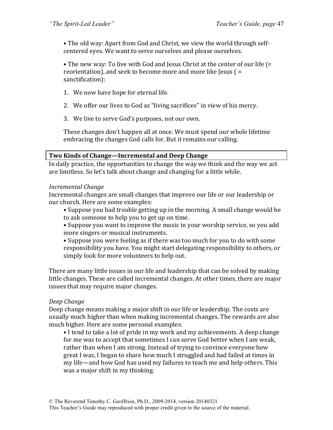• The old way: Apart from God and Christ, we view the world through selfcentered eyes. We want to serve ourselves and please ourselves.

• The new way: To live with God and Jesus Christ at the center of our life (= reorientation), and seek to become more and more like Jesus  $($  = sanctification):

- 1. We now have hope for eternal life.
- 2. We offer our lives to God as "living sacrifices" in view of his mercy.
- 3. We live to serve God's purposes, not our own.

These changes don't happen all at once. We must spend our whole lifetime embracing the changes God calls for. But it remains our calling.

#### **Two Kinds of Change—Incremental and Deep Change**

In daily practice, the opportunities to change the way we think and the way we act are limitless. So let's talk about change and changing for a little while.

#### *Incremental Change*

Incremental changes are small changes that improve our life or our leadership or our church. Here are some examples:

• Suppose you had trouble getting up in the morning. A small change would be to ask someone to help you to get up on time.

• Suppose you want to improve the music in your worship service, so you add more singers or musical instruments.

• Suppose you were feeling as if there was too much for you to do with some responsibility you have. You might start delegating responsibility to others, or simply look for more volunteers to help out.

There are many little issues in our life and leadership that can be solved by making little changes. These are called incremental changes. At other times, there are major issues that may require major changes.

### *Deep Change*

Deep change means making a major shift in our life or leadership. The costs are usually much higher than when making incremental changes. The rewards are also much higher. Here are some personal examples:

• I tend to take a lot of pride in my work and my achievements. A deep change for me was to accept that sometimes I can serve God better when I am weak, rather than when I am strong. Instead of trying to convince everyone how great I was, I began to share how much I struggled and had failed at times in my life—and how God has used my failures to teach me and help others. This was a major shift in my thinking.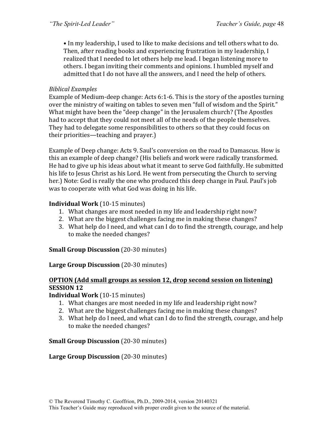• In my leadership, I used to like to make decisions and tell others what to do. Then, after reading books and experiencing frustration in my leadership, I realized that I needed to let others help me lead. I began listening more to others. I began inviting their comments and opinions. I humbled myself and admitted that I do not have all the answers, and I need the help of others.

### *Biblical Examples*

Example of Medium-deep change: Acts  $6:1-6$ . This is the story of the apostles turning over the ministry of waiting on tables to seven men "full of wisdom and the Spirit." What might have been the "deep change" in the Jerusalem church? (The Apostles had to accept that they could not meet all of the needs of the people themselves. They had to delegate some responsibilities to others so that they could focus on their priorities—teaching and praver.)

Example of Deep change: Acts 9. Saul's conversion on the road to Damascus. How is this an example of deep change? (His beliefs and work were radically transformed. He had to give up his ideas about what it meant to serve God faithfully. He submitted his life to Jesus Christ as his Lord. He went from persecuting the Church to serving her.) Note: God is really the one who produced this deep change in Paul. Paul's job was to cooperate with what God was doing in his life.

### **Individual Work** (10-15 minutes)

- 1. What changes are most needed in my life and leadership right now?
- 2. What are the biggest challenges facing me in making these changes?
- 3. What help do I need, and what can I do to find the strength, courage, and help to make the needed changes?

**Small Group Discussion** (20-30 minutes)

#### **Large Group Discussion** (20-30 minutes)

### **OPTION** (Add small groups as session 12, drop second session on listening) **SESSION 12**

### **Individual Work** (10-15 minutes)

- 1. What changes are most needed in my life and leadership right now?
- 2. What are the biggest challenges facing me in making these changes?
- 3. What help do I need, and what can I do to find the strength, courage, and help to make the needed changes?

### **Small Group Discussion** (20-30 minutes)

### **Large Group Discussion** (20-30 minutes)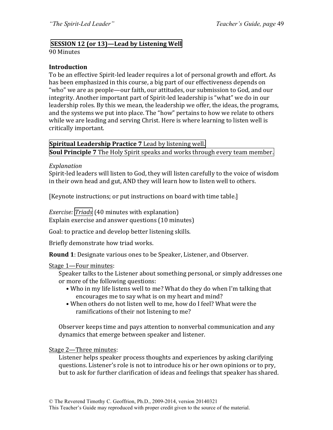### **SESSION 12 (or 13)—Lead by Listening Well**

90 Minutes

#### **Introduction**

To be an effective Spirit-led leader requires a lot of personal growth and effort. As has been emphasized in this course, a big part of our effectiveness depends on "who" we are as people—our faith, our attitudes, our submission to God, and our integrity. Another important part of Spirit-led leadership is "what" we do in our leadership roles. By this we mean, the leadership we offer, the ideas, the programs, and the systems we put into place. The "how" pertains to how we relate to others while we are leading and serving Christ. Here is where learning to listen well is critically important.

**Spiritual Leadership Practice 7** Lead by listening well. **Soul Principle 7** The Holy Spirit speaks and works through every team member.

#### *Explanation*

Spirit-led leaders will listen to God, they will listen carefully to the voice of wisdom in their own head and gut, AND they will learn how to listen well to others.

[Keynote instructions; or put instructions on board with time table.]

*Exercise:* Triads (40 minutes with explanation) Explain exercise and answer questions (10 minutes)

Goal: to practice and develop better listening skills.

Briefly demonstrate how triad works.

**Round 1**: Designate various ones to be Speaker, Listener, and Observer.

#### Stage 1-Four minutes:

Speaker talks to the Listener about something personal, or simply addresses one or more of the following questions:

- Who in my life listens well to me? What do they do when I'm talking that encourages me to say what is on my heart and mind?
- When others do not listen well to me, how do I feel? What were the ramifications of their not listening to me?

Observer keeps time and pays attention to nonverbal communication and any dynamics that emerge between speaker and listener.

Stage 2-Three minutes:

Listener helps speaker process thoughts and experiences by asking clarifying questions. Listener's role is not to introduce his or her own opinions or to pry, but to ask for further clarification of ideas and feelings that speaker has shared.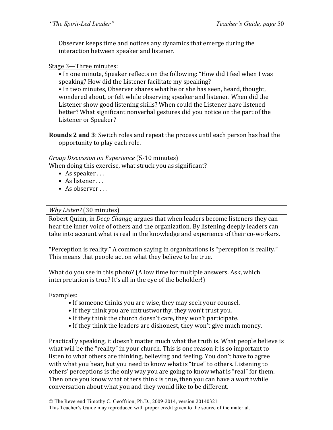Observer keeps time and notices any dynamics that emerge during the interaction between speaker and listener.

#### Stage 3-Three minutes:

• In one minute, Speaker reflects on the following: "How did I feel when I was speaking? How did the Listener facilitate my speaking?

• In two minutes, Observer shares what he or she has seen, heard, thought, wondered about, or felt while observing speaker and listener. When did the Listener show good listening skills? When could the Listener have listened better? What significant nonverbal gestures did you notice on the part of the Listener or Speaker?

**Rounds 2 and 3**: Switch roles and repeat the process until each person has had the opportunity to play each role.

#### *Group Discussion on Experience* (5-10 minutes)

When doing this exercise, what struck you as significant?

- As speaker  $\dots$
- As listener $\ldots$
- $\bullet$  As observer

#### *Why Listen?* (30 minutes)

Robert Quinn, in *Deep Change*, argues that when leaders become listeners they can hear the inner voice of others and the organization. By listening deeply leaders can take into account what is real in the knowledge and experience of their co-workers.

"Perception is reality." A common saying in organizations is "perception is reality." This means that people act on what they believe to be true.

What do you see in this photo? (Allow time for multiple answers. Ask, which interpretation is true? It's all in the eye of the beholder!)

Examples:

- If someone thinks you are wise, they may seek your counsel.
- If they think you are untrustworthy, they won't trust you.
- If they think the church doesn't care, they won't participate.
- If they think the leaders are dishonest, they won't give much money.

Practically speaking, it doesn't matter much what the truth is. What people believe is what will be the "reality" in your church. This is one reason it is so important to listen to what others are thinking, believing and feeling. You don't have to agree with what you hear, but you need to know what is "true" to others. Listening to others' perceptions is the only way you are going to know what is "real" for them. Then once you know what others think is true, then you can have a worthwhile conversation about what you and they would like to be different.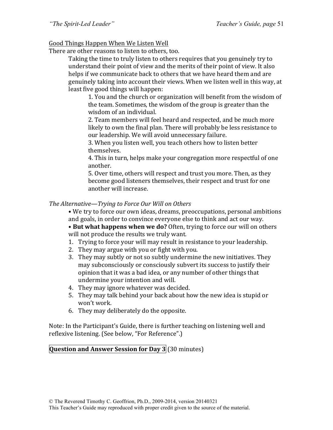### Good Things Happen When We Listen Well

There are other reasons to listen to others, too.

Taking the time to truly listen to others requires that you genuinely try to understand their point of view and the merits of their point of view. It also helps if we communicate back to others that we have heard them and are genuinely taking into account their views. When we listen well in this way, at least five good things will happen:

1. You and the church or organization will benefit from the wisdom of the team. Sometimes, the wisdom of the group is greater than the wisdom of an individual.

2. Team members will feel heard and respected, and be much more likely to own the final plan. There will probably be less resistance to our leadership. We will avoid unnecessary failure.

3. When you listen well, you teach others how to listen better themselves. 

4. This in turn, helps make your congregation more respectful of one another.

5. Over time, others will respect and trust you more. Then, as they become good listeners themselves, their respect and trust for one another will increase.

#### The Alternative—Trying to Force Our Will on Others

• We try to force our own ideas, dreams, preoccupations, personal ambitions and goals, in order to convince everyone else to think and act our way.

• But what happens when we do? Often, trying to force our will on others will not produce the results we truly want.

- 1. Trying to force your will may result in resistance to your leadership.
- 2. They may argue with you or fight with you.
- 3. They may subtly or not so subtly undermine the new initiatives. They may subconsciously or consciously subvert its success to justify their opinion that it was a bad idea, or any number of other things that undermine your intention and will.
- 4. They may ignore whatever was decided.
- 5. They may talk behind your back about how the new idea is stupid or won't work.
- 6. They may deliberately do the opposite.

Note: In the Participant's Guide, there is further teaching on listening well and reflexive listening. (See below, "For Reference".)

# **Question and Answer Session for Day 3** (30 minutes)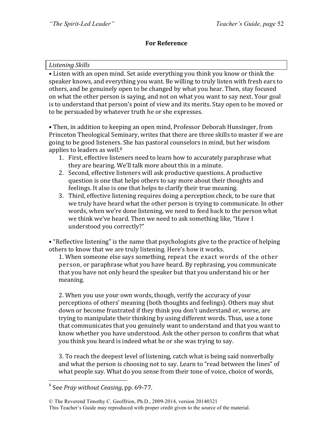### **For Reference**

#### *Listening Skills*

• Listen with an open mind. Set aside everything you think you know or think the speaker knows, and everything you want. Be willing to truly listen with fresh ears to others, and be genuinely open to be changed by what you hear. Then, stay focused on what the other person is saying, and not on what you want to say next. Your goal is to understand that person's point of view and its merits. Stay open to be moved or to be persuaded by whatever truth he or she expresses.

• Then, in addition to keeping an open mind, Professor Deborah Hunsinger, from Princeton Theological Seminary, writes that there are three skills to master if we are going to be good listeners. She has pastoral counselors in mind, but her wisdom applies to leaders as well. $8$ 

- 1. First, effective listeners need to learn how to accurately paraphrase what they are hearing. We'll talk more about this in a minute.
- 2. Second, effective listeners will ask productive questions. A productive question is one that helps others to say more about their thoughts and feelings. It also is one that helps to clarify their true meaning.
- 3. Third, effective listening requires doing a perception check, to be sure that we truly have heard what the other person is trying to communicate. In other words, when we're done listening, we need to feed back to the person what we think we've heard. Then we need to ask something like, "Have I understood you correctly?"

• "Reflective listening" is the name that psychologists give to the practice of helping others to know that we are truly listening. Here's how it works.

1. When someone else says something, repeat the exact words of the other person, or paraphrase what you have heard. By rephrasing, you communicate that you have not only heard the speaker but that you understand his or her meaning. 

2. When you use your own words, though, verify the accuracy of your perceptions of others' meaning (both thoughts and feelings). Others may shut down or become frustrated if they think you don't understand or, worse, are trying to manipulate their thinking by using different words. Thus, use a tone that communicates that you genuinely want to understand and that you want to know whether you have understood. Ask the other person to confirm that what you think you heard is indeed what he or she was trying to say.

3. To reach the deepest level of listening, catch what is being said nonverbally and what the person is choosing not to say. Learn to "read between the lines" of what people say. What do you sense from their tone of voice, choice of words,

<sup>&</sup>lt;sup>8</sup> See *Pray without Ceasing*, pp. 69-77.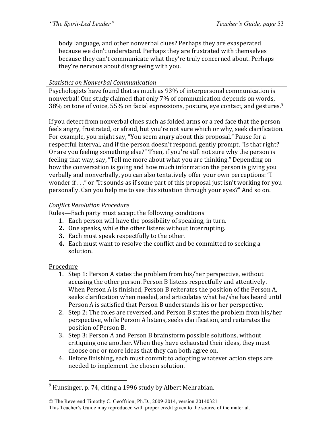body language, and other nonverbal clues? Perhaps they are exasperated because we don't understand. Perhaps they are frustrated with themselves because they can't communicate what they're truly concerned about. Perhaps they're nervous about disagreeing with you.

#### *Statistics on Nonverbal Communication*

Psychologists have found that as much as 93% of interpersonal communication is nonverbal! One study claimed that only 7% of communication depends on words, 38% on tone of voice, 55% on facial expressions, posture, eye contact, and gestures.<sup>9</sup>

If you detect from nonverbal clues such as folded arms or a red face that the person feels angry, frustrated, or afraid, but you're not sure which or why, seek clarification. For example, you might say, "You seem angry about this proposal." Pause for a respectful interval, and if the person doesn't respond, gently prompt, "Is that right? Or are you feeling something else?" Then, if you're still not sure why the person is feeling that way, say, "Tell me more about what you are thinking." Depending on how the conversation is going and how much information the person is giving you verbally and nonverbally, you can also tentatively offer your own perceptions: "I wonder if  $\ldots$ " or "It sounds as if some part of this proposal just isn't working for you personally. Can you help me to see this situation through your eyes?" And so on.

### *Conflict Resolution Procedure*

Rules—Each party must accept the following conditions

- 1. Each person will have the possibility of speaking, in turn.
- **2.** One speaks, while the other listens without interrupting.
- **3.** Each must speak respectfully to the other.
- **4.** Each must want to resolve the conflict and be committed to seeking a solution.

#### Procedure

- 1. Step 1: Person A states the problem from his/her perspective, without accusing the other person. Person B listens respectfully and attentively. When Person A is finished, Person B reiterates the position of the Person A, seeks clarification when needed, and articulates what he/she has heard until Person A is satisfied that Person B understands his or her perspective.
- 2. Step 2: The roles are reversed, and Person B states the problem from his/her perspective, while Person A listens, seeks clarification, and reiterates the position of Person B.
- 3. Step 3: Person A and Person B brainstorm possible solutions, without critiquing one another. When they have exhausted their ideas, they must choose one or more ideas that they can both agree on.
- 4. Before finishing, each must commit to adopting whatever action steps are needed to implement the chosen solution.

 $9$  Hunsinger, p. 74, citing a 1996 study by Albert Mehrabian.

<sup>©</sup> The Reverend Timothy C. Geoffrion, Ph.D., 2009-2014, version 20140321 This Teacher's Guide may reproduced with proper credit given to the source of the material.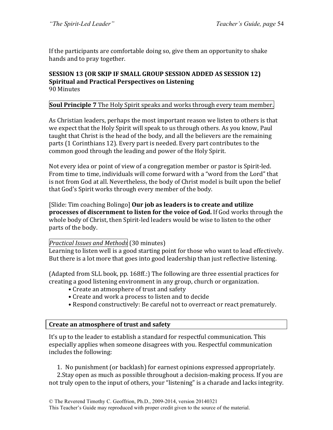If the participants are comfortable doing so, give them an opportunity to shake hands and to pray together.

#### **SESSION 13 (OR SKIP IF SMALL GROUP SESSION ADDED AS SESSION 12) Spiritual and Practical Perspectives on Listening** 90 Minutes

### **Soul Principle 7** The Holy Spirit speaks and works through every team member.

As Christian leaders, perhaps the most important reason we listen to others is that we expect that the Holy Spirit will speak to us through others. As you know, Paul taught that Christ is the head of the body, and all the believers are the remaining parts (1 Corinthians 12). Every part is needed. Every part contributes to the common good through the leading and power of the Holy Spirit.

Not every idea or point of view of a congregation member or pastor is Spirit-led. From time to time, individuals will come forward with a "word from the Lord" that is not from God at all. Nevertheless, the body of Christ model is built upon the belief that God's Spirit works through every member of the body.

[Slide: Tim coaching Bolingo] **Our job as leaders is to create and utilize processes of discernment to listen for the voice of God.** If God works through the whole body of Christ, then Spirit-led leaders would be wise to listen to the other parts of the body.

### *Practical Issues and Methods* (30 minutes)

Learning to listen well is a good starting point for those who want to lead effectively. But there is a lot more that goes into good leadership than just reflective listening.

(Adapted from SLL book, pp. 168ff.:) The following are three essential practices for creating a good listening environment in any group, church or organization.

- Create an atmosphere of trust and safety
- Create and work a process to listen and to decide
- Respond constructively: Be careful not to overreact or react prematurely.

#### **Create an atmosphere of trust and safety**

It's up to the leader to establish a standard for respectful communication. This especially applies when someone disagrees with you. Respectful communication includes the following:

1. No punishment (or backlash) for earnest opinions expressed appropriately.

2. Stay open as much as possible throughout a decision-making process. If you are not truly open to the input of others, your "listening" is a charade and lacks integrity.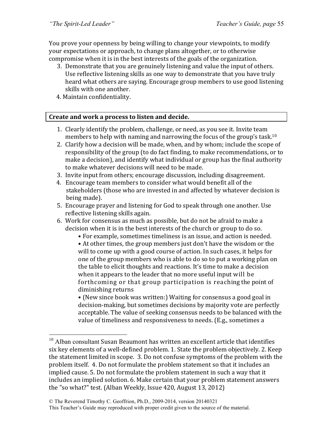You prove your openness by being willing to change your viewpoints, to modify your expectations or approach, to change plans altogether, or to otherwise compromise when it is in the best interests of the goals of the organization.

- 3. Demonstrate that you are genuinely listening and value the input of others. Use reflective listening skills as one way to demonstrate that you have truly heard what others are saying. Encourage group members to use good listening skills with one another.
- 4. Maintain confidentiality.

### Create and work a process to listen and decide.

- 1. Clearly identify the problem, challenge, or need, as you see it. Invite team members to help with naming and narrowing the focus of the group's task.<sup>10</sup>
- 2. Clarify how a decision will be made, when, and by whom; include the scope of responsibility of the group (to do fact finding, to make recommendations, or to make a decision), and identify what individual or group has the final authority to make whatever decisions will need to be made.
- 3. Invite input from others; encourage discussion, including disagreement.
- 4. Encourage team members to consider what would benefit all of the stakeholders (those who are invested in and affected by whatever decision is being made).
- 5. Encourage prayer and listening for God to speak through one another. Use reflective listening skills again.
- 6. Work for consensus as much as possible, but do not be afraid to make a decision when it is in the best interests of the church or group to do so.
	- For example, sometimes timeliness is an issue, and action is needed.

• At other times, the group members just don't have the wisdom or the will to come up with a good course of action. In such cases, it helps for one of the group members who is able to do so to put a working plan on the table to elicit thoughts and reactions. It's time to make a decision when it appears to the leader that no more useful input will be forthcoming or that group participation is reaching the point of diminishing returns

• (New since book was written:) Waiting for consensus a good goal in decision-making, but sometimes decisions by majority vote are perfectly acceptable. The value of seeking consensus needs to be balanced with the value of timeliness and responsiveness to needs. (E.g., sometimes a

 $10$  Alban consultant Susan Beaumont has written an excellent article that identifies six key elements of a well-defined problem. 1. State the problem objectively. 2. Keep the statement limited in scope. 3. Do not confuse symptoms of the problem with the problem itself. 4. Do not formulate the problem statement so that it includes an implied cause. 5. Do not formulate the problem statement in such a way that it includes an implied solution. 6. Make certain that your problem statement answers the "so what?" test. (Alban Weekly, Issue  $420$ , August  $13, 2012$ )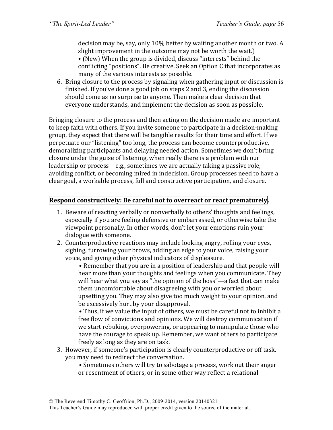decision may be, say, only 10% better by waiting another month or two. A slight improvement in the outcome may not be worth the wait.)

• (New) When the group is divided, discuss "interests" behind the conflicting "positions". Be creative. Seek an Option C that incorporates as many of the various interests as possible.

6. Bring closure to the process by signaling when gathering input or discussion is finished. If you've done a good job on steps 2 and 3, ending the discussion should come as no surprise to anyone. Then make a clear decision that everyone understands, and implement the decision as soon as possible.

Bringing closure to the process and then acting on the decision made are important to keep faith with others. If you invite someone to participate in a decision-making group, they expect that there will be tangible results for their time and effort. If we perpetuate our "listening" too long, the process can become counterproductive, demoralizing participants and delaying needed action. Sometimes we don't bring closure under the guise of listening, when really there is a problem with our leadership or process—e.g., sometimes we are actually taking a passive role, avoiding conflict, or becoming mired in indecision. Group processes need to have a clear goal, a workable process, full and constructive participation, and closure.

### **Respond constructively: Be careful not to overreact or react prematurely.**

- 1. Beware of reacting verbally or nonverbally to others' thoughts and feelings, especially if you are feeling defensive or embarrassed, or otherwise take the viewpoint personally. In other words, don't let your emotions ruin your dialogue with someone.
- 2. Counterproductive reactions may include looking angry, rolling your eyes, sighing, furrowing your brows, adding an edge to your voice, raising your voice, and giving other physical indicators of displeasure.

• Remember that you are in a position of leadership and that people will hear more than your thoughts and feelings when you communicate. They will hear what you say as "the opinion of the boss"—a fact that can make them uncomfortable about disagreeing with you or worried about upsetting you. They may also give too much weight to your opinion, and be excessively hurt by your disapproval.

• Thus, if we value the input of others, we must be careful not to inhibit a free flow of convictions and opinions. We will destroy communication if we start rebuking, overpowering, or appearing to manipulate those who have the courage to speak up. Remember, we want others to participate freely as long as they are on task.

- 3. However, if someone's participation is clearly counterproductive or off task, you may need to redirect the conversation.
	- Sometimes others will try to sabotage a process, work out their anger or resentment of others, or in some other way reflect a relational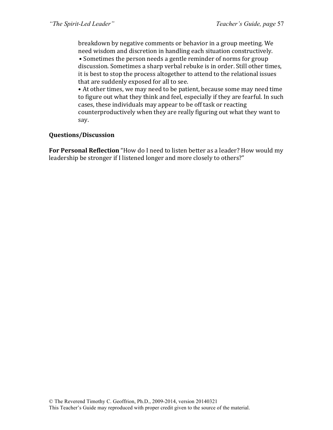breakdown by negative comments or behavior in a group meeting. We need wisdom and discretion in handling each situation constructively.

• Sometimes the person needs a gentle reminder of norms for group discussion. Sometimes a sharp verbal rebuke is in order. Still other times, it is best to stop the process altogether to attend to the relational issues that are suddenly exposed for all to see.

• At other times, we may need to be patient, because some may need time to figure out what they think and feel, especially if they are fearful. In such cases, these individuals may appear to be off task or reacting counterproductively when they are really figuring out what they want to say. 

#### **Questions/Discussion**

**For Personal Reflection** "How do I need to listen better as a leader? How would my leadership be stronger if I listened longer and more closely to others?"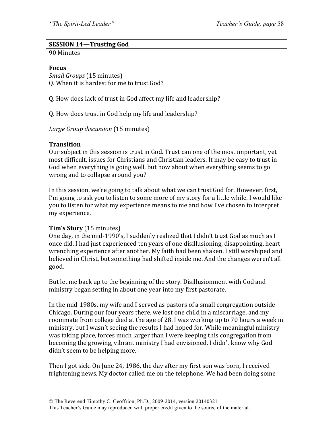### **SESSION 14—Trusting God**

90 Minutes

#### **Focus**

*Small Groups* (15 minutes) Q. When it is hardest for me to trust God?

Q. How does lack of trust in God affect my life and leadership?

Q. How does trust in God help my life and leadership?

Large Group discussion (15 minutes)

#### **Transition**

Our subject in this session is trust in God. Trust can one of the most important, yet most difficult, issues for Christians and Christian leaders. It may be easy to trust in God when everything is going well, but how about when everything seems to go wrong and to collapse around you?

In this session, we're going to talk about what we can trust God for. However, first, I'm going to ask you to listen to some more of my story for a little while. I would like you to listen for what my experience means to me and how I've chosen to interpret my experience.

#### **Tim's Story** (15 minutes)

One day, in the mid-1990's, I suddenly realized that I didn't trust God as much as I once did. I had just experienced ten years of one disillusioning, disappointing, heartwrenching experience after another. My faith had been shaken. I still worshiped and believed in Christ, but something had shifted inside me. And the changes weren't all good.

But let me back up to the beginning of the story. Disillusionment with God and ministry began setting in about one year into my first pastorate.

In the mid-1980s, my wife and I served as pastors of a small congregation outside Chicago. During our four years there, we lost one child in a miscarriage, and my roommate from college died at the age of 28. I was working up to 70 hours a week in ministry, but I wasn't seeing the results I had hoped for. While meaningful ministry was taking place, forces much larger than I were keeping this congregation from becoming the growing, vibrant ministry I had envisioned. I didn't know why God didn't seem to be helping more.

Then I got sick. On June 24, 1986, the day after my first son was born, I received frightening news. My doctor called me on the telephone. We had been doing some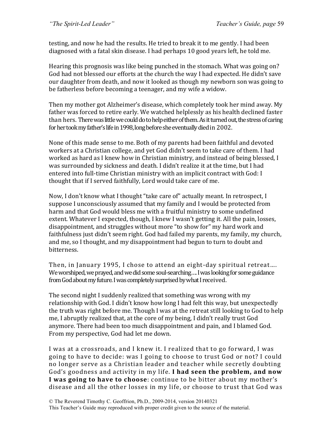testing, and now he had the results. He tried to break it to me gently. I had been diagnosed with a fatal skin disease. I had perhaps 10 good years left, he told me.

Hearing this prognosis was like being punched in the stomach. What was going on? God had not blessed our efforts at the church the way I had expected. He didn't save our daughter from death, and now it looked as though my newborn son was going to be fatherless before becoming a teenager, and my wife a widow.

Then my mother got Alzheimer's disease, which completely took her mind away. My father was forced to retire early. We watched helplessly as his health declined faster than hers. There was little we could do to help either of them. As it turned out, the stress of caring for her took my father's life in 1998, long before she eventually died in 2002.

None of this made sense to me. Both of my parents had been faithful and devoted workers at a Christian college, and yet God didn't seem to take care of them. I had worked as hard as I knew how in Christian ministry, and instead of being blessed, I was surrounded by sickness and death. I didn't realize it at the time, but I had entered into full-time Christian ministry with an implicit contract with God: I thought that if I served faithfully, Lord would take care of me.

Now, I don't know what I thought "take care of" actually meant. In retrospect, I suppose I unconsciously assumed that my family and I would be protected from harm and that God would bless me with a fruitful ministry to some undefined extent. Whatever I expected, though, I knew I wasn't getting it. All the pain, losses, disappointment, and struggles without more "to show for" my hard work and faithfulness just didn't seem right. God had failed my parents, my family, my church, and me, so I thought, and my disappointment had begun to turn to doubt and bitterness.

Then, in January 1995, I chose to attend an eight-day spiritual retreat.... We worshiped, we prayed, and we did some soul-searching.... I was looking for some guidance from God about my future. I was completely surprised by what I received.

The second night I suddenly realized that something was wrong with my relationship with God. I didn't know how long I had felt this way, but unexpectedly the truth was right before me. Though I was at the retreat still looking to God to help me, I abruptly realized that, at the core of my being, I didn't really trust God anymore. There had been too much disappointment and pain, and I blamed God. From my perspective, God had let me down.

I was at a crossroads, and I knew it. I realized that to go forward, I was going to have to decide: was I going to choose to trust God or not? I could no longer serve as a Christian leader and teacher while secretly doubting God's goodness and activity in my life. I had seen the problem, and now **I** was going to have to choose: continue to be bitter about my mother's disease and all the other losses in my life, or choose to trust that God was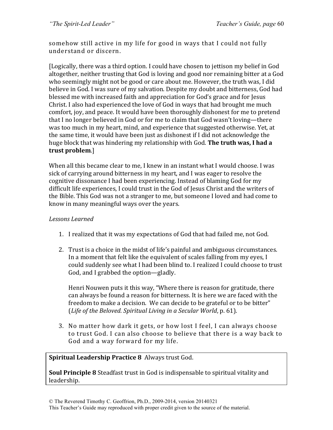somehow still active in my life for good in ways that I could not fully understand or discern.

[Logically, there was a third option. I could have chosen to jettison my belief in God altogether, neither trusting that God is loving and good nor remaining bitter at a God who seemingly might not be good or care about me. However, the truth was, I did believe in God. I was sure of my salvation. Despite my doubt and bitterness, God had blessed me with increased faith and appreciation for God's grace and for Jesus Christ. I also had experienced the love of God in ways that had brought me much comfort, joy, and peace. It would have been thoroughly dishonest for me to pretend that I no longer believed in God or for me to claim that God wasn't loving—there was too much in my heart, mind, and experience that suggested otherwise. Yet, at the same time, it would have been just as dishonest if I did not acknowledge the huge block that was hindering my relationship with God. **The truth was, I had a** trust problem.]

When all this became clear to me. I knew in an instant what I would choose. I was sick of carrying around bitterness in my heart, and I was eager to resolve the cognitive dissonance I had been experiencing. Instead of blaming God for my difficult life experiences, I could trust in the God of Jesus Christ and the writers of the Bible. This God was not a stranger to me, but someone I loved and had come to know in many meaningful ways over the years.

### *Lessons Learned*

- 1. I realized that it was my expectations of God that had failed me, not God.
- 2. Trust is a choice in the midst of life's painful and ambiguous circumstances. In a moment that felt like the equivalent of scales falling from my eyes, I could suddenly see what I had been blind to. I realized I could choose to trust God, and I grabbed the option—gladly.

Henri Nouwen puts it this way, "Where there is reason for gratitude, there can always be found a reason for bitterness. It is here we are faced with the freedom to make a decision. We can decide to be grateful or to be bitter" (*Life of the Beloved. Spiritual Living in a Secular World*, p. 61).

3. No matter how dark it gets, or how lost I feel, I can always choose to trust God. I can also choose to believe that there is a way back to God and a way forward for my life.

#### **Spiritual Leadership Practice 8 Always trust God.**

**Soul Principle 8** Steadfast trust in God is indispensable to spiritual vitality and leadership.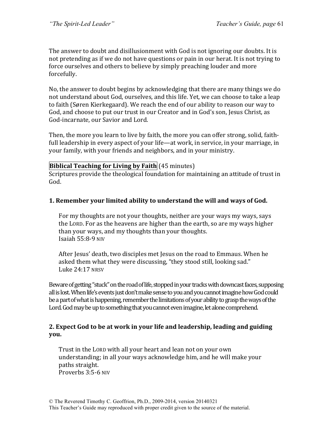The answer to doubt and disillusionment with God is not ignoring our doubts. It is not pretending as if we do not have questions or pain in our herat. It is not trying to force ourselves and others to believe by simply preaching louder and more forcefully. 

No, the answer to doubt begins by acknowledging that there are many things we do not understand about God, ourselves, and this life. Yet, we can choose to take a leap to faith (Søren Kierkegaard). We reach the end of our ability to reason our way to God, and choose to put our trust in our Creator and in God's son, Jesus Christ, as God-incarnate, our Savior and Lord.

Then, the more you learn to live by faith, the more you can offer strong, solid, faithfull leadership in every aspect of your life—at work, in service, in your marriage, in your family, with your friends and neighbors, and in your ministry.

### **Biblical Teaching for Living by Faith** (45 minutes)

Scriptures provide the theological foundation for maintaining an attitude of trust in God.

# **1. Remember your limited ability to understand the will and ways of God.**

For my thoughts are not your thoughts, neither are your ways my ways, says the LORD. For as the heavens are higher than the earth, so are my ways higher than your ways, and my thoughts than your thoughts. Isaiah  $55:8-9$  NIV

After Jesus' death, two disciples met Jesus on the road to Emmaus. When he asked them what they were discussing, "they stood still, looking sad." Luke 24:17 NRSV

Beware of getting "stuck" on the road of life, stopped in your tracks with downcast faces, supposing all is lost. When life's events just don't make sense to you and you cannot imagine how God could be a part of what is happening, remember the limitations of your ability to grasp the ways of the Lord. God may be up to something that you cannot even imagine, let alone comprehend.

### **2.** Expect God to be at work in your life and leadership, leading and guiding **you.**

Trust in the LORD with all your heart and lean not on your own understanding; in all your ways acknowledge him, and he will make your paths straight. Proverbs 3:5-6 NIV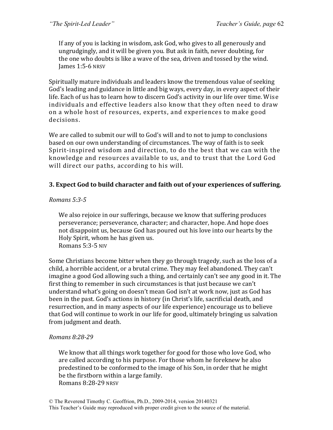If any of you is lacking in wisdom, ask God, who gives to all generously and ungrudgingly, and it will be given you. But ask in faith, never doubting, for the one who doubts is like a wave of the sea, driven and tossed by the wind. James 1:5-6 NRSV

Spiritually mature individuals and leaders know the tremendous value of seeking God's leading and guidance in little and big ways, every day, in every aspect of their life. Each of us has to learn how to discern God's activity in our life over time. Wise individuals and effective leaders also know that they often need to draw on a whole host of resources, experts, and experiences to make good decisions. 

We are called to submit our will to God's will and to not to jump to conclusions based on our own understanding of circumstances. The way of faith is to seek Spirit-inspired wisdom and direction, to do the best that we can with the knowledge and resources available to us, and to trust that the Lord God will direct our paths, according to his will.

### **3.** Expect God to build character and faith out of your experiences of suffering.

### *Romans 5:3-5*

We also rejoice in our sufferings, because we know that suffering produces perseverance; perseverance, character; and character, hope. And hope does not disappoint us, because God has poured out his love into our hearts by the Holy Spirit, whom he has given us. Romans 5:3-5 NIV

Some Christians become bitter when they go through tragedy, such as the loss of a child, a horrible accident, or a brutal crime. They may feel abandoned. They can't imagine a good God allowing such a thing, and certainly can't see any good in it. The first thing to remember in such circumstances is that just because we can't understand what's going on doesn't mean God isn't at work now, just as God has been in the past. God's actions in history (in Christ's life, sacrificial death, and resurrection, and in many aspects of our life experience) encourage us to believe that God will continue to work in our life for good, ultimately bringing us salvation from judgment and death.

### *Romans 8:28-29*

We know that all things work together for good for those who love God, who are called according to his purpose. For those whom he foreknew he also predestined to be conformed to the image of his Son, in order that he might be the firstborn within a large family. Romans 8:28-29 NRSV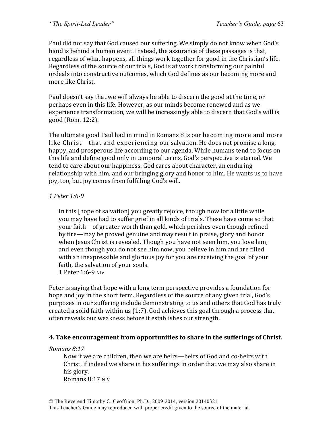Paul did not say that God caused our suffering. We simply do not know when God's hand is behind a human event. Instead, the assurance of these passages is that, regardless of what happens, all things work together for good in the Christian's life. Regardless of the source of our trials, God is at work transforming our painful ordeals into constructive outcomes, which God defines as our becoming more and more like Christ.

Paul doesn't say that we will always be able to discern the good at the time, or perhaps even in this life. However, as our minds become renewed and as we experience transformation, we will be increasingly able to discern that God's will is good (Rom. 12:2).

The ultimate good Paul had in mind in Romans 8 is our becoming more and more like Christ—that and experiencing our salvation. He does not promise a long, happy, and prosperous life according to our agenda. While humans tend to focus on this life and define good only in temporal terms, God's perspective is eternal. We tend to care about our happiness. God cares about character, an enduring relationship with him, and our bringing glory and honor to him. He wants us to have joy, too, but joy comes from fulfilling God's will.

### *1 Peter 1:6-9*

In this [hope of salvation] you greatly rejoice, though now for a little while you may have had to suffer grief in all kinds of trials. These have come so that your faith—of greater worth than gold, which perishes even though refined by fire—may be proved genuine and may result in praise, glory and honor when Jesus Christ is revealed. Though you have not seen him, you love him; and even though you do not see him now, you believe in him and are filled with an inexpressible and glorious joy for you are receiving the goal of your faith, the salvation of your souls.

1 Peter 1:6-9 NIV

Peter is saying that hope with a long term perspective provides a foundation for hope and joy in the short term. Regardless of the source of any given trial, God's purposes in our suffering include demonstrating to us and others that God has truly created a solid faith within us  $(1:7)$ . God achieves this goal through a process that often reveals our weakness before it establishes our strength.

### **4.** Take encouragement from opportunities to share in the sufferings of Christ.

#### *Romans 8:17*

Now if we are children, then we are heirs—heirs of God and co-heirs with Christ, if indeed we share in his sufferings in order that we may also share in his glory.

Romans 8:17 NIV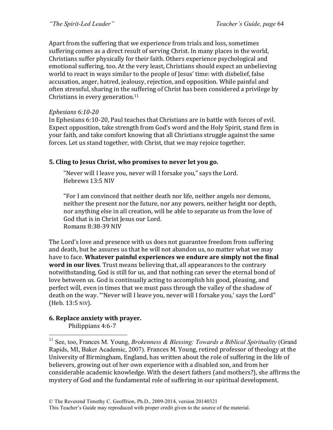Apart from the suffering that we experience from trials and loss, sometimes suffering comes as a direct result of serving Christ. In many places in the world, Christians suffer physically for their faith. Others experience psychological and emotional suffering, too. At the very least, Christians should expect an unbelieving world to react in ways similar to the people of Jesus' time: with disbelief, false accusation, anger, hatred, jealousy, rejection, and opposition. While painful and often stressful, sharing in the suffering of Christ has been considered a privilege by Christians in every generation. $11$ 

#### *Ephesians 6:10-20*

In Ephesians 6:10-20, Paul teaches that Christians are in battle with forces of evil. Expect opposition, take strength from God's word and the Holy Spirit, stand firm in your faith, and take comfort knowing that all Christians struggle against the same forces. Let us stand together, with Christ, that we may rejoice together.

### **5. Cling to Jesus Christ, who promises to never let you go.**

"Never will I leave you, never will I forsake you," says the Lord. Hebrews 13:5 NIV

"For I am convinced that neither death nor life, neither angels nor demons, neither the present nor the future, nor any powers, neither height nor depth, nor anything else in all creation, will be able to separate us from the love of God that is in Christ Jesus our Lord. Romans 8:38-39 NIV

The Lord's love and presence with us does not guarantee freedom from suffering and death, but he assures us that he will not abandon us, no matter what we may have to face. Whatever painful experiences we endure are simply not the final **word in our lives**. Trust means believing that, all appearances to the contrary notwithstanding, God is still for us, and that nothing can sever the eternal bond of love between us. God is continually acting to accomplish his good, pleasing, and perfect will, even in times that we must pass through the valley of the shadow of death on the way. "'Never will I leave you, never will I forsake you,' says the Lord" (Heb. 13:5 NIV).

# **6. Replace anxiety with prayer.**

Philippians 4:6-7

<sup>&</sup>lt;sup>11</sup> See, too, Frances M. Young, *Brokenness & Blessing: Towards a Biblical Spirituality* (Grand Rapids, MI, Baker Academic, 2007). Frances M. Young, retired professor of theology at the University of Birmingham, England, has written about the role of suffering in the life of believers, growing out of her own experience with a disabled son, and from her considerable academic knowledge. With the desert fathers (and mothers?), she affirms the mystery of God and the fundamental role of suffering in our spiritual development.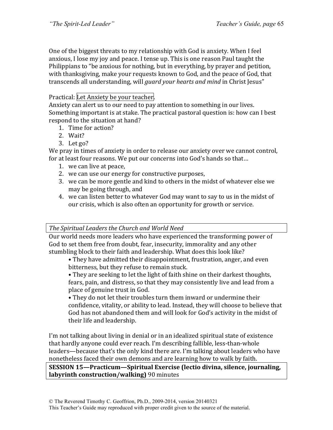One of the biggest threats to my relationship with God is anxiety. When I feel anxious, I lose my joy and peace. I tense up. This is one reason Paul taught the Philippians to "be anxious for nothing, but in everything, by prayer and petition, with thanksgiving, make your requests known to God, and the peace of God, that transcends all understanding, will *guard your hearts and mind* in Christ Jesus"

# Practical: Let Anxiety be your teacher.

Anxiety can alert us to our need to pay attention to something in our lives. Something important is at stake. The practical pastoral question is: how can I best respond to the situation at hand?

- 1. Time for action?
- 2. Wait?
- 3. Let  $go?$

We pray in times of anxiety in order to release our anxiety over we cannot control, for at least four reasons. We put our concerns into God's hands so that...

- 1. we can live at peace,
- 2. we can use our energy for constructive purposes,
- 3. we can be more gentle and kind to others in the midst of whatever else we may be going through, and
- 4. we can listen better to whatever God may want to say to us in the midst of our crisis, which is also often an opportunity for growth or service.

#### **The Spiritual Leaders the Church and World Need**

Our world needs more leaders who have experienced the transforming power of God to set them free from doubt, fear, insecurity, immorality and any other stumbling block to their faith and leadership. What does this look like?

• They have admitted their disappointment, frustration, anger, and even bitterness, but they refuse to remain stuck.

• They are seeking to let the light of faith shine on their darkest thoughts, fears, pain, and distress, so that they may consistently live and lead from a place of genuine trust in God.

• They do not let their troubles turn them inward or undermine their confidence, vitality, or ability to lead. Instead, they will choose to believe that God has not abandoned them and will look for God's activity in the midst of their life and leadership.

I'm not talking about living in denial or in an idealized spiritual state of existence that hardly anyone could ever reach. I'm describing fallible, less-than-whole leaders—because that's the only kind there are. I'm talking about leaders who have nonetheless faced their own demons and are learning how to walk by faith.

#### **SESSION 15—Practicum—Spiritual Exercise (lectio divina, silence, journaling, labyrinth construction/walking)** 90 minutes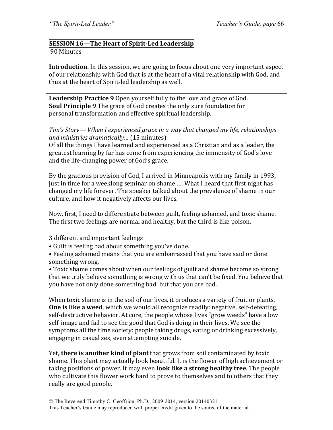### **SESSION 16—The Heart of Spirit-Led Leadership**

#### 90 Minutes

**Introduction.** In this session, we are going to focus about one very important aspect of our relationship with God that is at the heart of a vital relationship with God, and thus at the heart of Spirit-led leadership as well.

**Leadership Practice 9** Open yourself fully to the love and grace of God. **Soul Principle 9** The grace of God creates the only sure foundation for personal transformation and effective spiritual leadership.

### *Tim's Story— When I experienced grace in a way that changed my life, relationships and ministries dramatically...* (15 minutes)

Of all the things I have learned and experienced as a Christian and as a leader, the greatest learning by far has come from experiencing the immensity of God's love and the life-changing power of God's grace.

By the gracious provision of God, I arrived in Minneapolis with my family in 1993, just in time for a weeklong seminar on shame .... What I heard that first night has changed my life forever. The speaker talked about the prevalence of shame in our culture, and how it negatively affects our lives.

Now, first, I need to differentiate between guilt, feeling ashamed, and toxic shame. The first two feelings are normal and healthy, but the third is like poison.

#### 3 different and important feelings

• Guilt is feeling bad about something you've done.

• Feeling ashamed means that you are embarrassed that you have said or done something wrong.

• Toxic shame comes about when our feelings of guilt and shame become so strong that we truly believe something is wrong with us that can't be fixed. You believe that you have not only done something bad; but that you are bad.

When toxic shame is in the soil of our lives, it produces a variety of fruit or plants. **One is like a weed**, which we would all recognize readily: negative, self-defeating, self-destructive behavior. At core, the people whose lives "grow weeds" have a low self-image and fail to see the good that God is doing in their lives. We see the symptoms all the time society: people taking drugs, eating or drinking excessively, engaging in casual sex, even attempting suicide.

Yet, there is another kind of plant that grows from soil contaminated by toxic shame. This plant may actually look beautiful. It is the flower of high achievement or taking positions of power. It may even **look like a strong healthy tree**. The people who cultivate this flower work hard to prove to themselves and to others that they really are good people.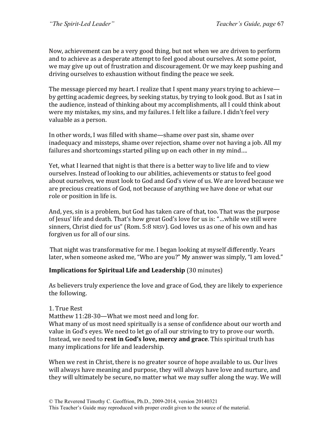Now, achievement can be a very good thing, but not when we are driven to perform and to achieve as a desperate attempt to feel good about ourselves. At some point, we may give up out of frustration and discouragement. Or we may keep pushing and driving ourselves to exhaustion without finding the peace we seek.

The message pierced my heart. I realize that I spent many years trying to achieve by getting academic degrees, by seeking status, by trying to look good. But as I sat in the audience, instead of thinking about my accomplishments, all I could think about were my mistakes, my sins, and my failures. I felt like a failure. I didn't feel very valuable as a person.

In other words, I was filled with shame—shame over past sin, shame over inadequacy and missteps, shame over rejection, shame over not having a job. All my failures and shortcomings started piling up on each other in my mind....

Yet, what I learned that night is that there is a better way to live life and to view ourselves. Instead of looking to our abilities, achievements or status to feel good about ourselves, we must look to God and God's view of us. We are loved because we are precious creations of God, not because of anything we have done or what our role or position in life is.

And, yes, sin is a problem, but God has taken care of that, too. That was the purpose of Jesus' life and death. That's how great God's love for us is: "...while we still were sinners, Christ died for us" (Rom. 5:8 NRSV). God loves us as one of his own and has forgiven us for all of our sins.

That night was transformative for me. I began looking at myself differently. Years later, when someone asked me, "Who are you?" My answer was simply, "I am loved."

### **Implications for Spiritual Life and Leadership** (30 minutes)

As believers truly experience the love and grace of God, they are likely to experience the following.

### 1. True Rest

Matthew  $11:28-30$ —What we most need and long for.

What many of us most need spiritually is a sense of confidence about our worth and value in God's eyes. We need to let go of all our striving to try to prove our worth. Instead, we need to **rest in God's love, mercy and grace**. This spiritual truth has many implications for life and leadership.

When we rest in Christ, there is no greater source of hope available to us. Our lives will always have meaning and purpose, they will always have love and nurture, and they will ultimately be secure, no matter what we may suffer along the way. We will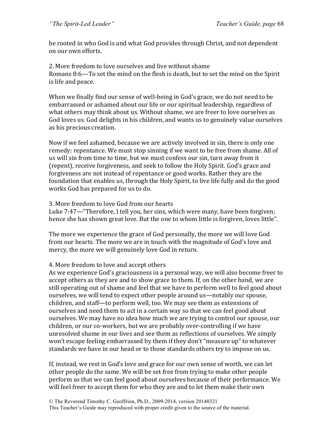be rooted in who God is and what God provides through Christ, and not dependent on our own efforts.

2. More freedom to love ourselves and live without shame Romans 8:6—To set the mind on the flesh is death, but to set the mind on the Spirit is life and peace.

When we finally find our sense of well-being in God's grace, we do not need to be embarrassed or ashamed about our life or our spiritual leadership, regardless of what others may think about us. Without shame, we are freer to love ourselves as God loves us. God delights in his children, and wants us to genuinely value ourselves as his precious creation.

Now if we feel ashamed, because we are actively involved in sin, there is only one remedy: repentance. We must stop sinning if we want to be free from shame. All of us will sin from time to time, but we must confess our sin, turn away from it (repent), receive forgiveness, and seek to follow the Holy Spirit. God's grace and forgiveness are not instead of repentance or good works. Rather they are the foundation that enables us, through the Holy Spirit, to live life fully and do the good works God has prepared for us to do.

#### 3. More freedom to love God from our hearts

Luke 7:47—"Therefore, I tell you, her sins, which were many, have been forgiven; hence she has shown great love. But the one to whom little is forgiven, loves little".

The more we experience the grace of God personally, the more we will love God from our hearts. The more we are in touch with the magnitude of God's love and mercy, the more we will genuinely love God in return.

### 4. More freedom to love and accept others

As we experience God's graciousness in a personal way, we will also become freer to accept others as they are and to show grace to them. If, on the other hand, we are still operating out of shame and feel that we have to perform well to feel good about ourselves, we will tend to expect other people around us—notably our spouse, children, and staff—to perform well, too. We may see them as extensions of ourselves and need them to act in a certain way so that we can feel good about ourselves. We may have no idea how much we are trying to control our spouse, our children, or our co-workers, but we are probably over-controlling if we have unresolved shame in our lives and see them as reflections of ourselves. We simply won't escape feeling embarrassed by them if they don't "measure up" to whatever standards we have in our head or to those standards others try to impose on us.

If, instead, we rest in God's love and grace for our own sense of worth, we can let other people do the same. We will be set free from trying to make other people perform so that we can feel good about ourselves because of their performance. We will feel freer to accept them for who they are and to let them make their own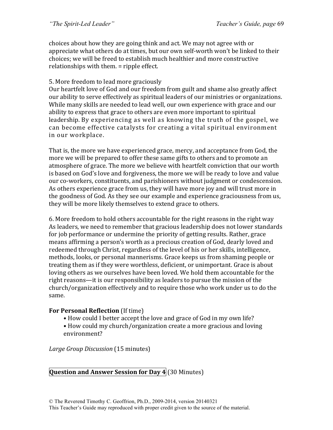choices about how they are going think and act. We may not agree with or appreciate what others do at times, but our own self-worth won't be linked to their choices; we will be freed to establish much healthier and more constructive relationships with them.  $=$  ripple effect.

### 5. More freedom to lead more graciously

Our heartfelt love of God and our freedom from guilt and shame also greatly affect our ability to serve effectively as spiritual leaders of our ministries or organizations. While many skills are needed to lead well, our own experience with grace and our ability to express that grace to others are even more important to spiritual leadership. By experiencing as well as knowing the truth of the gospel, we can become effective catalysts for creating a vital spiritual environment in our workplace.

That is, the more we have experienced grace, mercy, and acceptance from God, the more we will be prepared to offer these same gifts to others and to promote an atmosphere of grace. The more we believe with heartfelt conviction that our worth is based on God's love and forgiveness, the more we will be ready to love and value our co-workers, constituents, and parishioners without judgment or condescension. As others experience grace from us, they will have more joy and will trust more in the goodness of God. As they see our example and experience graciousness from us, they will be more likely themselves to extend grace to others.

6. More freedom to hold others accountable for the right reasons in the right way As leaders, we need to remember that gracious leadership does not lower standards for job performance or undermine the priority of getting results. Rather, grace means affirming a person's worth as a precious creation of God, dearly loved and redeemed through Christ, regardless of the level of his or her skills, intelligence, methods, looks, or personal mannerisms. Grace keeps us from shaming people or treating them as if they were worthless, deficient, or unimportant. Grace is about loving others as we ourselves have been loved. We hold them accountable for the right reasons—it is our responsibility as leaders to pursue the mission of the church/organization effectively and to require those who work under us to do the same.

# **For Personal Reflection** (If time)

- How could I better accept the love and grace of God in my own life?
- How could my church/organization create a more gracious and loving environment?

*Large Group Discussion* (15 minutes)

# **Question and Answer Session for Day 4** (30 Minutes)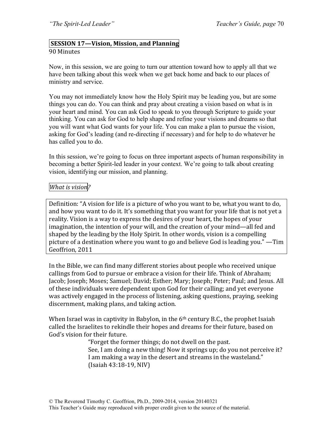#### **SESSION 17—Vision, Mission, and Planning** 90 Minutes

Now, in this session, we are going to turn our attention toward how to apply all that we have been talking about this week when we get back home and back to our places of ministry and service.

You may not immediately know how the Holy Spirit may be leading you, but are some things you can do. You can think and pray about creating a vision based on what is in your heart and mind. You can ask God to speak to you through Scripture to guide your thinking. You can ask for God to help shape and refine your visions and dreams so that you will want what God wants for your life. You can make a plan to pursue the vision, asking for God's leading (and re-directing if necessary) and for help to do whatever he has called you to do.

In this session, we're going to focus on three important aspects of human responsibility in becoming a better Spirit-led leader in your context. We're going to talk about creating vision, identifying our mission, and planning.

#### *What is vision?*

Definition: "A vision for life is a picture of who you want to be, what you want to do, and how you want to do it. It's something that you want for your life that is not yet a reality. Vision is a way to express the desires of your heart, the hopes of your imagination, the intention of your will, and the creation of your mind—all fed and shaped by the leading by the Holy Spirit. In other words, vision is a compelling picture of a destination where you want to go and believe God is leading you."  $-$ Tim Geoffrion, 2011

In the Bible, we can find many different stories about people who received unique callings from God to pursue or embrace a vision for their life. Think of Abraham; Jacob; Joseph; Moses; Samuel; David; Esther; Mary; Joseph; Peter; Paul; and Jesus. All of these individuals were dependent upon God for their calling; and yet everyone was actively engaged in the process of listening, asking questions, praying, seeking discernment, making plans, and taking action.

When Israel was in captivity in Babylon, in the  $6<sup>th</sup>$  century B.C., the prophet Isaiah called the Israelites to rekindle their hopes and dreams for their future, based on God's vision for their future.

> "Forget the former things; do not dwell on the past. See, I am doing a new thing! Now it springs up; do you not perceive it? I am making a way in the desert and streams in the wasteland." (Isaiah 43:18-19, NIV)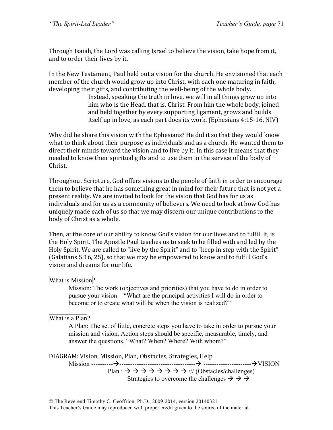Through Isaiah, the Lord was calling Israel to believe the vision, take hope from it, and to order their lives by it.

In the New Testament, Paul held out a vision for the church. He envisioned that each member of the church would grow up into Christ, with each one maturing in faith, developing their gifts, and contributing the well-being of the whole body.

Instead, speaking the truth in love, we will in all things grow up into him who is the Head, that is, Christ. From him the whole body, joined and held together by every supporting ligament, grows and builds itself up in love, as each part does its work. (Ephesians  $4:15-16$ , NIV)

Why did he share this vision with the Ephesians? He did it so that they would know what to think about their purpose as individuals and as a church. He wanted them to direct their minds toward the vision and to live by it. In this case it means that they needed to know their spiritual gifts and to use them in the service of the body of Christ.

Throughout Scripture, God offers visions to the people of faith in order to encourage them to believe that he has something great in mind for their future that is not yet a present reality. We are invited to look for the vision that God has for us as individuals and for us as a community of believers. We need to look at how God has uniquely made each of us so that we may discern our unique contributions to the body of Christ as a whole.

Then, at the core of our ability to know God's vision for our lives and to fulfill it, is the Holy Spirit. The Apostle Paul teaches us to seek to be filled with and led by the Holy Spirit. We are called to "live by the Spirit" and to "keep in step with the Spirit" (Galatians  $5:16$ ,  $25$ ), so that we may be empowered to know and to fulfill God's vision and dreams for our life.

### What is Mission?

Mission: The work (objectives and priorities) that you have to do in order to pursue your vision—"What are the principal activities I will do in order to become or to create what will be when the vision is realized?"

# What is a Plan?

A Plan: The set of little, concrete steps you have to take in order to pursue your mission and vision. Action steps should be specific, measurable, timely, and answer the questions, "What? When? Where? With whom?"

DIAGRAM: Vision, Mission, Plan, Obstacles, Strategies, Help

Mission ----------!-----------------------------------! ----------------------!VISION Plan :  $\rightarrow \rightarrow \rightarrow \rightarrow \rightarrow \rightarrow \rightarrow \rightarrow \rightarrow \prime \prime$  (Obstacles/challenges) Strategies to overcome the challenges  $\rightarrow \rightarrow \rightarrow$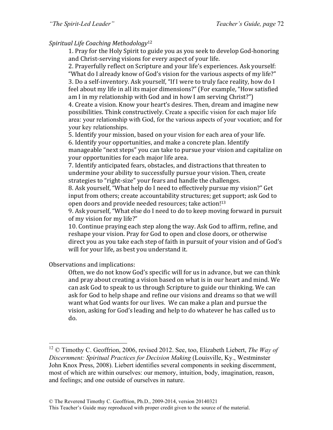# *Spiritual Life Coaching Methodology*<sup>12</sup>

1. Pray for the Holy Spirit to guide you as you seek to develop God-honoring and Christ-serving visions for every aspect of your life.

2. Prayerfully reflect on Scripture and your life's experiences. Ask yourself: "What do I already know of God's vision for the various aspects of my life?" 3. Do a self-inventory. Ask yourself, "If I were to truly face reality, how do I feel about my life in all its major dimensions?" (For example, "How satisfied am I in my relationship with God and in how I am serving  $Christ?")$ 4. Create a vision. Know your heart's desires. Then, dream and imagine new

possibilities. Think constructively. Create a specific vision for each major life area: your relationship with God, for the various aspects of your vocation; and for your key relationships.

5. Identify your mission, based on your vision for each area of your life. 6. Identify your opportunities, and make a concrete plan. Identify manageable "next steps" you can take to pursue your vision and capitalize on your opportunities for each major life area.

7. Identify anticipated fears, obstacles, and distractions that threaten to undermine your ability to successfully pursue your vision. Then, create strategies to "right-size" your fears and handle the challenges.

8. Ask yourself, "What help do I need to effectively pursue my vision?" Get input from others; create accountability structures; get support; ask God to open doors and provide needed resources; take action!<sup>13</sup>

9. Ask yourself, "What else do I need to do to keep moving forward in pursuit of my vision for my life?"

10. Continue praying each step along the way. Ask God to affirm, refine, and reshape your vision. Pray for God to open and close doors, or otherwise direct you as you take each step of faith in pursuit of your vision and of God's will for your life, as best you understand it.

Observations and implications:

Often, we do not know God's specific will for us in advance, but we can think and pray about creating a vision based on what is in our heart and mind. We can ask God to speak to us through Scripture to guide our thinking. We can ask for God to help shape and refine our visions and dreams so that we will want what God wants for our lives. We can make a plan and pursue the vision, asking for God's leading and help to do whatever he has called us to do.

 <sup>12</sup> © Timothy C. Geoffrion, 2006, revised 2012. See, too, Elizabeth Liebert, *The Way of Discernment: Spiritual Practices for Decision Making* (Louisville, Ky., Westminster John Knox Press, 2008). Liebert identifies several components in seeking discernment, most of which are within ourselves: our memory, intuition, body, imagination, reason, and feelings; and one outside of ourselves in nature.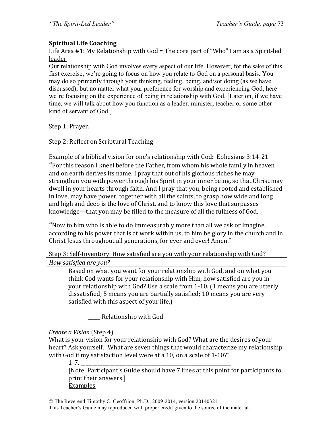# **Spiritual Life Coaching**

Life Area  $#1$ : My Relationship with  $God = The core part of "Who" I am as a Spirit-led$ leader

Our relationship with God involves every aspect of our life. However, for the sake of this first exercise, we're going to focus on how you relate to God on a personal basis. You may do so primarily through your thinking, feeling, being, and/sor doing (as we have discussed); but no matter what your preference for worship and experiencing God, here we're focusing on the experience of being in relationship with God. [Later on, if we have time, we will talk about how you function as a leader, minister, teacher or some other kind of servant of God.]

Step 1: Prayer.

Step 2: Reflect on Scriptural Teaching

Example of a biblical vision for one's relationship with God: Ephesians 3:14-21 "For this reason I kneel before the Father, from whom his whole family in heaven and on earth derives its name. I pray that out of his glorious riches he may strengthen you with power through his Spirit in your inner being, so that Christ may dwell in your hearts through faith. And I pray that you, being rooted and established in love, may have power, together with all the saints, to grasp how wide and long and high and deep is the love of Christ, and to know this love that surpasses knowledge—that you may be filled to the measure of all the fullness of God.

"Now to him who is able to do immeasurably more than all we ask or imagine, according to his power that is at work within us, to him be glory in the church and in Christ Jesus throughout all generations, for ever and ever! Amen."

Step 3: Self-Inventory: How satisfied are you with your relationship with God? *How satisfied are you?*

Based on what you want for your relationship with God, and on what you think God wants for your relationship with Him, how satisfied are you in your relationship with God? Use a scale from 1-10. (1 means you are utterly dissatisfied; 5 means you are partially satisfied; 10 means you are very satisfied with this aspect of your life.)

Relationship with God

# *Create a Vision* (Step 4)

What is your vision for your relationship with God? What are the desires of your heart? Ask yourself, "What are seven things that would characterize my relationship with God if my satisfaction level were at a 10, on a scale of  $1-10$ ?"

1-7. \_\_\_\_\_\_\_\_\_\_\_\_\_\_\_\_\_\_\_\_\_\_\_\_\_\_\_\_\_\_\_\_\_\_\_\_\_\_\_\_\_\_\_\_\_\_\_\_\_\_\_\_\_\_\_\_\_\_\_\_\_\_

[Note: Participant's Guide should have 7 lines at this point for participants to print their answers.] Examples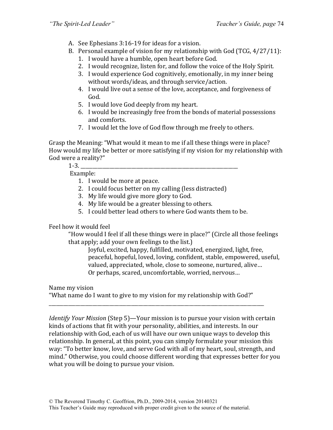- A. See Ephesians 3:16-19 for ideas for a vision.
- B. Personal example of vision for my relationship with God  $(TCG, 4/27/11)$ :
	- 1. I would have a humble, open heart before God.
	- 2. I would recognize, listen for, and follow the voice of the Holy Spirit.
	- 3. I would experience God cognitively, emotionally, in my inner being without words/ideas, and through service/action.
	- 4. I would live out a sense of the love, acceptance, and forgiveness of God.
	- 5. I would love God deeply from my heart.
	- 6. I would be increasingly free from the bonds of material possessions and comforts.
	- 7. I would let the love of God flow through me freely to others.

Grasp the Meaning: "What would it mean to me if all these things were in place? How would my life be better or more satisfying if my vision for my relationship with God were a reality?"

1-3. \_\_\_\_\_\_\_\_\_\_\_\_\_\_\_\_\_\_\_\_\_\_\_\_\_\_\_\_\_\_\_\_\_\_\_\_\_\_\_\_\_\_\_\_\_\_\_\_\_\_\_\_\_\_\_\_\_\_\_\_\_\_\_\_\_

Example:

- 1. I would be more at peace.
- 2. I could focus better on my calling (less distracted)
- 3. My life would give more glory to God.
- 4. My life would be a greater blessing to others.
- 5. I could better lead others to where God wants them to be.

Feel how it would feel

"How would I feel if all these things were in place?" (Circle all those feelings that apply; add your own feelings to the list.)

Joyful, excited, happy, fulfilled, motivated, energized, light, free, peaceful, hopeful, loved, loving, confident, stable, empowered, useful, valued, appreciated, whole, close to someone, nurtured, alive... Or perhaps, scared, uncomfortable, worried, nervous...

Name my vision

"What name do I want to give to my vision for my relationship with God?"

\_\_\_\_\_\_\_\_\_\_\_\_\_\_\_\_\_\_\_\_\_\_\_\_\_\_\_\_\_\_\_\_\_\_\_\_\_\_\_\_\_\_\_\_\_\_\_\_\_\_\_\_\_\_\_\_\_\_\_\_\_\_\_\_\_\_\_\_\_\_\_\_\_\_\_\_\_\_\_\_\_\_\_\_\_\_\_\_\_

*Identify Your Mission* (Step 5)—Your mission is to pursue your vision with certain kinds of actions that fit with your personality, abilities, and interests. In our relationship with God, each of us will have our own unique ways to develop this relationship. In general, at this point, you can simply formulate your mission this way: "To better know, love, and serve God with all of my heart, soul, strength, and mind." Otherwise, you could choose different wording that expresses better for you what you will be doing to pursue your vision.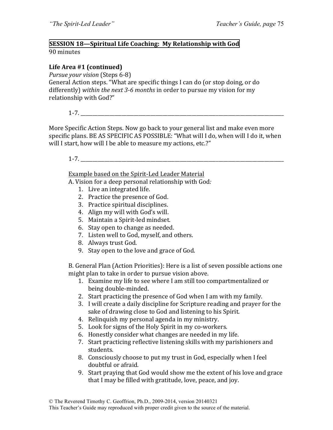### **SESSION 18—Spiritual Life Coaching: My Relationship with God** 90 minutes

# Life Area #1 (continued)

*Pursue your vision* (Steps 6-8)

General Action steps. "What are specific things I can do (or stop doing, or do differently) within the next 3-6 months in order to pursue my vision for my relationship with God?"

 $1-7.$ 

More Specific Action Steps. Now go back to your general list and make even more specific plans. BE AS SPECIFIC AS POSSIBLE: "What will I do, when will I do it, when will I start, how will I be able to measure my actions, etc.?"

 $1-7.$ 

Example based on the Spirit-Led Leader Material

A. Vision for a deep personal relationship with God.

- 1. Live an integrated life.
- 2. Practice the presence of God.
- 3. Practice spiritual disciplines.
- 4. Align my will with God's will.
- 5. Maintain a Spirit-led mindset.
- 6. Stay open to change as needed.
- 7. Listen well to God, myself, and others.
- 8. Always trust God.
- 9. Stay open to the love and grace of God.

B. General Plan (Action Priorities): Here is a list of seven possible actions one might plan to take in order to pursue vision above.

- 1. Examine my life to see where I am still too compartmentalized or being double-minded.
- 2. Start practicing the presence of God when I am with my family.
- 3. I will create a daily discipline for Scripture reading and prayer for the sake of drawing close to God and listening to his Spirit.
- 4. Relinquish my personal agenda in my ministry.
- 5. Look for signs of the Holy Spirit in my co-workers.
- 6. Honestly consider what changes are needed in my life.
- 7. Start practicing reflective listening skills with my parishioners and students.
- 8. Consciously choose to put my trust in God, especially when I feel doubtful or afraid.
- 9. Start praying that God would show me the extent of his love and grace that I may be filled with gratitude, love, peace, and joy.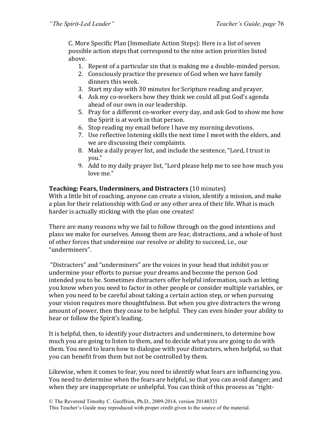C. More Specific Plan (Immediate Action Steps): Here is a list of seven possible action steps that correspond to the nine action priorities listed above. 

- 1. Repent of a particular sin that is making me a double-minded person.
- 2. Consciously practice the presence of God when we have family dinners this week.
- 3. Start my day with 30 minutes for Scripture reading and prayer.
- 4. Ask my co-workers how they think we could all put God's agenda ahead of our own in our leadership.
- 5. Pray for a different co-worker every day, and ask God to show me how the Spirit is at work in that person.
- 6. Stop reading my email before I have my morning devotions.
- 7. Use reflective listening skills the next time I meet with the elders, and we are discussing their complaints.
- 8. Make a daily prayer list, and include the sentence, "Lord, I trust in you."
- 9. Add to my daily prayer list, "Lord please help me to see how much you love me."

# **Teaching: Fears, Underminers, and Distracters** (10 minutes)

With a little bit of coaching, anyone can create a vision, identify a mission, and make a plan for their relationship with God or any other area of their life. What is much harder is actually sticking with the plan one creates!

There are many reasons why we fail to follow through on the good intentions and plans we make for ourselves. Among them are fear, distractions, and a whole of host of other forces that undermine our resolve or ability to succeed, i.e., our "underminers".

"Distracters" and "underminers" are the voices in your head that inhibit you or undermine your efforts to pursue your dreams and become the person God intended you to be. Sometimes distracters offer helpful information, such as letting you know when you need to factor in other people or consider multiple variables, or when you need to be careful about taking a certain action step, or when pursuing your vision requires more thoughtfulness. But when you give distracters the wrong amount of power, then they cease to be helpful. They can even hinder your ability to hear or follow the Spirit's leading.

It is helpful, then, to identify your distracters and underminers, to determine how much you are going to listen to them, and to decide what you are going to do with them. You need to learn how to dialogue with your distracters, when helpful, so that you can benefit from them but not be controlled by them.

Likewise, when it comes to fear, you need to identify what fears are influencing you. You need to determine when the fears are helpful, so that you can avoid danger; and when they are inappropriate or unhelpful. You can think of this process as "right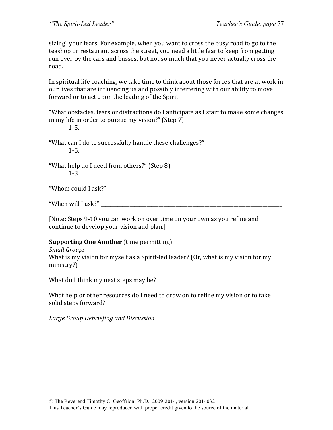sizing" your fears. For example, when you want to cross the busy road to go to the teashop or restaurant across the street, you need a little fear to keep from getting run over by the cars and busses, but not so much that you never actually cross the road. 

In spiritual life coaching, we take time to think about those forces that are at work in our lives that are influencing us and possibly interfering with our ability to move forward or to act upon the leading of the Spirit.

"What obstacles, fears or distractions do I anticipate as I start to make some changes in my life in order to pursue my vision?"  $(Step 7)$ 

1-3. \_\_\_\_\_\_\_\_\_\_\_\_\_\_\_\_\_\_\_\_\_\_\_\_\_\_\_\_\_\_\_\_\_\_\_\_\_\_\_\_\_\_\_\_\_\_\_\_\_\_\_\_\_\_\_\_\_\_\_\_\_\_\_\_\_\_\_\_\_\_\_\_\_\_\_\_\_\_\_\_\_\_\_\_

"What can I do to successfully handle these challenges?"

| - |  |  |  |
|---|--|--|--|
|   |  |  |  |

"What help do I need from others?" (Step  $8$ )

|  | ۰, |
|--|----|

"Whom could I ask?"

"When will I ask?"

[Note: Steps 9-10 you can work on over time on your own as you refine and continue to develop your vision and plan.]

#### **Supporting One Another** (time permitting)

*Small Groups*

What is my vision for myself as a Spirit-led leader? (Or, what is my vision for my ministry?)

What do I think my next steps may be?

What help or other resources do I need to draw on to refine my vision or to take solid steps forward?

*Large Group Debriefing and Discussion*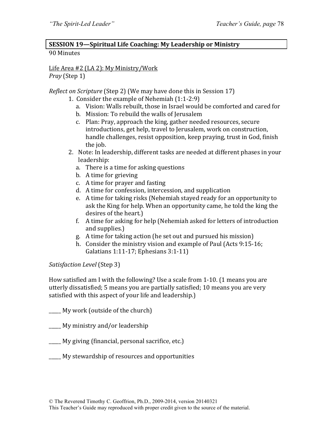# **SESSION 19-Spiritual Life Coaching: My Leadership or Ministry**

#### 90 Minutes

Life Area #2 (LA 2): My Ministry/Work *Pray* (Step 1)

*Reflect on Scripture* (Step 2) (We may have done this in Session 17)

- 1. Consider the example of Nehemiah  $(1:1-2:9)$ 
	- a. Vision: Walls rebuilt, those in Israel would be comforted and cared for
	- b. Mission: To rebuild the walls of Jerusalem
	- c. Plan: Pray, approach the king, gather needed resources, secure introductions, get help, travel to Jerusalem, work on construction, handle challenges, resist opposition, keep praying, trust in God, finish the iob.
- 2. Note: In leadership, different tasks are needed at different phases in your leadership:
	- a. There is a time for asking questions
	- b. A time for grieving
	- c. A time for prayer and fasting
	- d. A time for confession, intercession, and supplication
	- e. A time for taking risks (Nehemiah stayed ready for an opportunity to ask the King for help. When an opportunity came, he told the king the desires of the heart.)
	- f. A time for asking for help (Nehemiah asked for letters of introduction and supplies.)
	- g. A time for taking action (he set out and pursued his mission)
	- h. Consider the ministry vision and example of Paul (Acts  $9:15-16$ ; Galatians  $1:11-17$ ; Ephesians  $3:1-11$ )

*Satisfaction Level* (Step 3)

How satisfied am I with the following? Use a scale from  $1-10$ . (1 means you are utterly dissatisfied; 5 means you are partially satisfied; 10 means you are very satisfied with this aspect of your life and leadership.)

 $\Box$  My work (outside of the church)

My ministry and/or leadership

- <u>\_\_\_\_</u> My giving (financial, personal sacrifice, etc.)
- My stewardship of resources and opportunities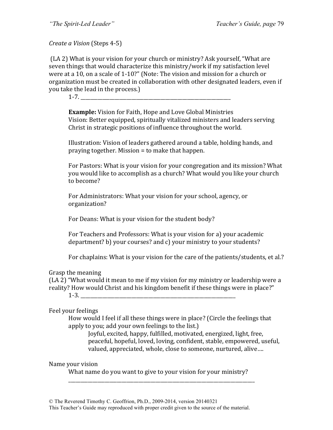*Create a Vision* (Steps 4-5)

(LA 2) What is your vision for your church or ministry? Ask yourself, "What are seven things that would characterize this ministry/work if my satisfaction level were at a 10, on a scale of 1-10?" (Note: The vision and mission for a church or organization must be created in collaboration with other designated leaders, even if you take the lead in the process.)

 $1-7.$ 

**Example:** Vision for Faith, Hope and Love Global Ministries Vision: Better equipped, spiritually vitalized ministers and leaders serving Christ in strategic positions of influence throughout the world.

Illustration: Vision of leaders gathered around a table, holding hands, and praying together. Mission  $=$  to make that happen.

For Pastors: What is your vision for your congregation and its mission? What you would like to accomplish as a church? What would you like your church to become?

For Administrators: What your vision for your school, agency, or organization?

For Deans: What is your vision for the student body?

For Teachers and Professors: What is your vision for a) your academic department? b) your courses? and c) your ministry to your students?

For chaplains: What is your vision for the care of the patients/students, et al.?

Grasp the meaning

 $(LA 2)$  "What would it mean to me if my vision for my ministry or leadership were a reality? How would Christ and his kingdom benefit if these things were in place?"

 $1-3.$ 

Feel your feelings

How would I feel if all these things were in place? (Circle the feelings that apply to you; add your own feelings to the list.)

Joyful, excited, happy, fulfilled, motivated, energized, light, free, peaceful, hopeful, loved, loving, confident, stable, empowered, useful, valued, appreciated, whole, close to someone, nurtured, alive....

Name your vision

What name do you want to give to your vision for your ministry? \_\_\_\_\_\_\_\_\_\_\_\_\_\_\_\_\_\_\_\_\_\_\_\_\_\_\_\_\_\_\_\_\_\_\_\_\_\_\_\_\_\_\_\_\_\_\_\_\_\_\_\_\_\_\_\_\_\_\_\_\_\_\_\_\_\_\_\_\_\_\_\_\_\_\_\_\_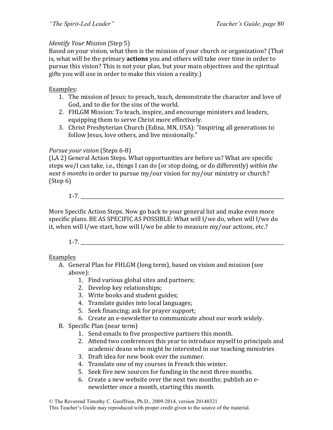### *Identify Your Mission* (Step 5)

Based on your vision, what then is the mission of your church or organization? (That is, what will be the primary **actions** you and others will take over time in order to pursue this vision? This is not your plan, but your main objectives and the spiritual gifts you will use in order to make this vision a reality.)

### Examples:

- 1. The mission of Jesus: to preach, teach, demonstrate the character and love of God, and to die for the sins of the world.
- 2. FHLGM Mission: To teach, inspire, and encourage ministers and leaders, equipping them to serve Christ more effectively.
- 3. Christ Presbyterian Church (Edina, MN, USA): "Inspiring all generations to follow Jesus, love others, and live missionally."

#### *Pursue your vision* (Steps 6-8)

(LA 2) General Action Steps. What opportunities are before us? What are specific steps we/I can take, i.e., things I can do (or stop doing, or do differently) within the *next* 6 *months* in order to pursue my/our vision for my/our ministry or church?  $(Step 6)$ 

1-7. \_\_\_\_\_\_\_\_\_\_\_\_\_\_\_\_\_\_\_\_\_\_\_\_\_\_\_\_\_\_\_\_\_\_\_\_\_\_\_\_\_\_\_\_\_\_\_\_\_\_\_\_\_\_\_\_\_\_\_\_\_\_\_\_\_\_\_\_\_\_\_\_\_\_\_\_\_\_\_\_\_\_\_\_

More Specific Action Steps. Now go back to your general list and make even more specific plans. BE AS SPECIFIC AS POSSIBLE: What will I/we do, when will I/we do it, when will I/we start, how will I/we be able to measure my/our actions, etc.?

 $1-7.$ 

#### Examples

- A. General Plan for FHLGM (long term), based on vision and mission (see above):
	- 1. Find various global sites and partners;
	- 2. Develop key relationships;
	- 3. Write books and student guides;
	- 4. Translate guides into local languages;
	- 5. Seek financing; ask for prayer support;
	- 6. Create an e-newsletter to communicate about our work widely.
- B. Specific Plan (near term)
	- 1. Send emails to five prospective partners this month.
	- 2. Attend two conferences this year to introduce myself to principals and academic deans who might be interested in our teaching ministries
	- 3. Draft idea for new book over the summer.
	- 4. Translate one of my courses in French this winter.
	- 5. Seek five new sources for funding in the next three months.
	- 6. Create a new website over the next two months; publish an enews letter once a month, starting this month.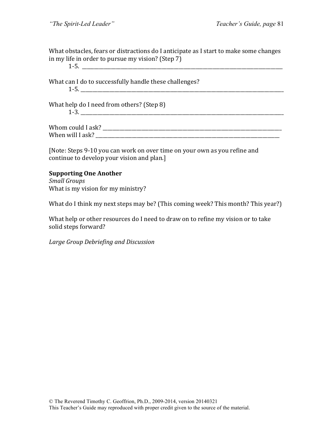What obstacles, fears or distractions do I anticipate as I start to make some changes in my life in order to pursue my vision? (Step  $7$ )

What can I do to successfully handle these challenges?  $1-5.$ 

 $1-5.$ 

What help do I need from others? (Step  $8$ ) 1-3. \_\_\_\_\_\_\_\_\_\_\_\_\_\_\_\_\_\_\_\_\_\_\_\_\_\_\_\_\_\_\_\_\_\_\_\_\_\_\_\_\_\_\_\_\_\_\_\_\_\_\_\_\_\_\_\_\_\_\_\_\_\_\_\_\_\_\_\_\_\_\_\_\_\_\_\_\_\_\_\_\_\_\_\_

Whom could I ask? \_\_\_\_\_\_\_\_\_\_\_\_\_\_\_\_\_\_\_\_\_\_\_\_\_\_\_\_\_\_\_\_\_\_\_\_\_\_\_\_\_\_\_\_\_\_\_\_\_\_\_\_\_\_\_\_\_\_\_\_\_\_\_\_\_\_\_\_\_\_\_\_\_\_ When will I ask?

[Note: Steps 9-10 you can work on over time on your own as you refine and continue to develop your vision and plan.]

#### **Supporting One Another**

*Small Groups* What is my vision for my ministry?

What do I think my next steps may be? (This coming week? This month? This year?)

What help or other resources do I need to draw on to refine my vision or to take solid steps forward?

*Large Group Debriefing and Discussion*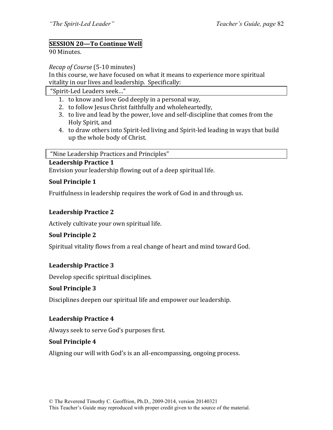# **SESSION 20—To Continue Well**

#### 90 Minutes.

*Recap of Course* (5-10 minutes)

In this course, we have focused on what it means to experience more spiritual vitality in our lives and leadership. Specifically:

"Spirit-Led Leaders seek…"

- 1. to know and love God deeply in a personal way,
- 2. to follow Jesus Christ faithfully and wholeheartedly,
- 3. to live and lead by the power, love and self-discipline that comes from the Holy Spirit, and
- 4. to draw others into Spirit-led living and Spirit-led leading in ways that build up the whole body of Christ.

"Nine Leadership Practices and Principles"

#### **Leadership Practice 1**

Envision your leadership flowing out of a deep spiritual life.

#### **Soul Principle 1**

Fruitfulness in leadership requires the work of God in and through us.

### **Leadership Practice 2**

Actively cultivate your own spiritual life.

#### **Soul Principle 2**

Spiritual vitality flows from a real change of heart and mind toward God.

#### **Leadership Practice 3**

Develop specific spiritual disciplines.

#### **Soul Principle 3**

Disciplines deepen our spiritual life and empower our leadership.

#### **Leadership Practice 4**

Always seek to serve God's purposes first.

#### **Soul Principle 4**

Aligning our will with God's is an all-encompassing, ongoing process.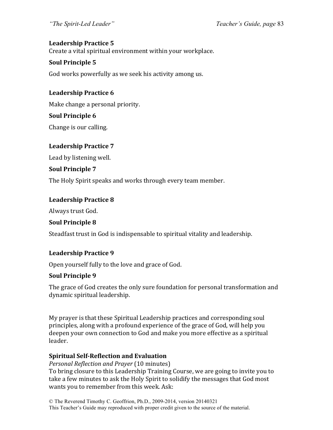# Leadership Practice 5

Create a vital spiritual environment within your workplace.

# **Soul Principle 5**

God works powerfully as we seek his activity among us.

# **Leadership Practice 6**

Make change a personal priority.

### **Soul Principle 6**

Change is our calling.

### Leadership Practice 7

Lead by listening well.

### **Soul Principle 7**

The Holy Spirit speaks and works through every team member.

### **Leadership Practice 8**

Always trust God.

# **Soul Principle 8**

Steadfast trust in God is indispensable to spiritual vitality and leadership.

# Leadership Practice 9

Open yourself fully to the love and grace of God.

# **Soul Principle 9**

The grace of God creates the only sure foundation for personal transformation and dynamic spiritual leadership.

My prayer is that these Spiritual Leadership practices and corresponding soul principles, along with a profound experience of the grace of God, will help you deepen your own connection to God and make you more effective as a spiritual leader. 

# **Spiritual Self-Reflection and Evaluation**

*Personal Reflection and Prayer* (10 minutes) To bring closure to this Leadership Training Course, we are going to invite you to take a few minutes to ask the Holy Spirit to solidify the messages that God most wants you to remember from this week. Ask: